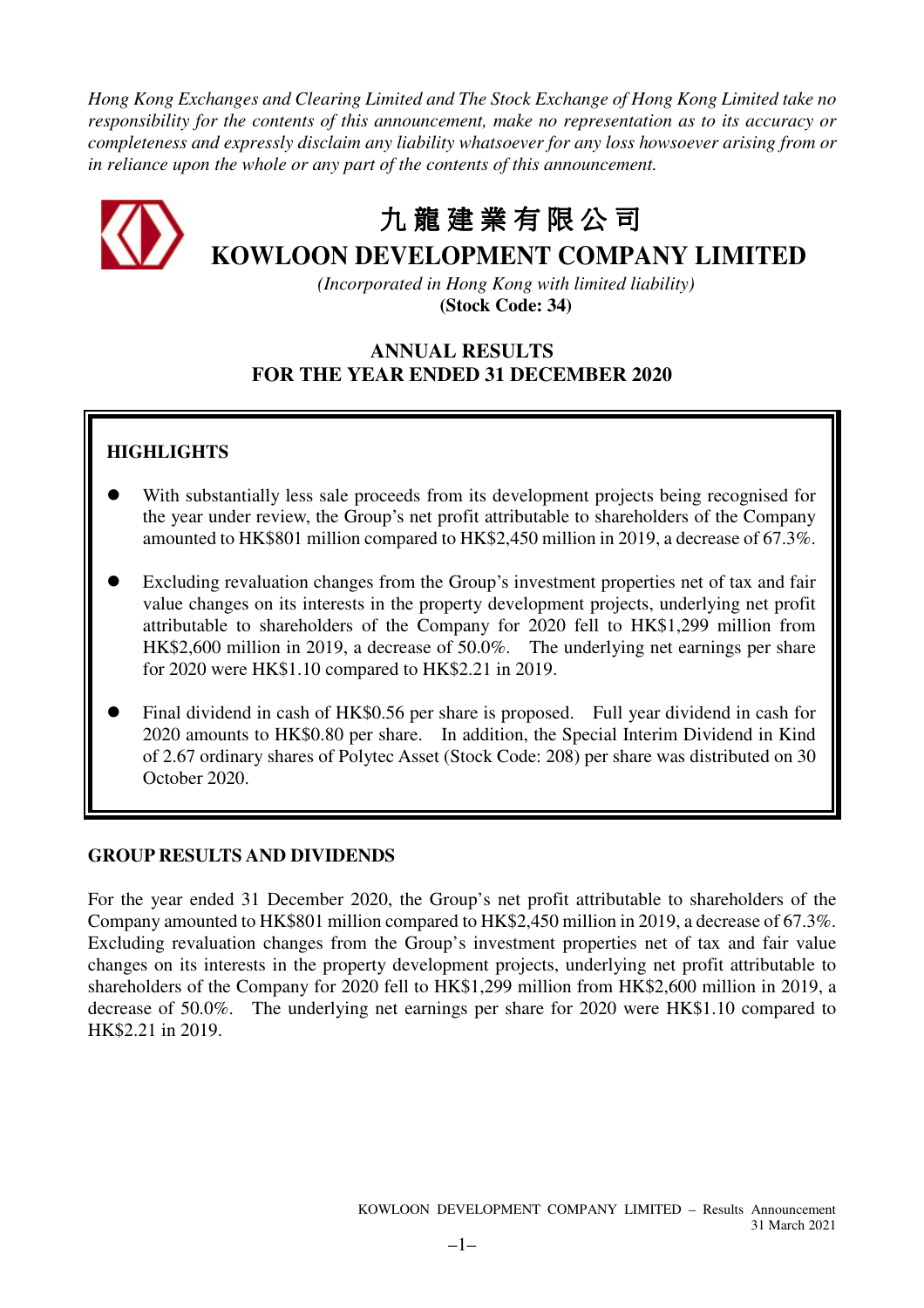*Hong Kong Exchanges and Clearing Limited and The Stock Exchange of Hong Kong Limited take no responsibility for the contents of this announcement, make no representation as to its accuracy or completeness and expressly disclaim any liability whatsoever for any loss howsoever arising from or in reliance upon the whole or any part of the contents of this announcement.* 



# 九 龍 建 業 有 限 公 司

# **KOWLOON DEVELOPMENT COMPANY LIMITED**

*(Incorporated in Hong Kong with limited liability)*  **(Stock Code: 34)** 

## **ANNUAL RESULTS FOR THE YEAR ENDED 31 DECEMBER 2020**

# **HIGHLIGHTS**

- With substantially less sale proceeds from its development projects being recognised for the year under review, the Group's net profit attributable to shareholders of the Company amounted to HK\$801 million compared to HK\$2,450 million in 2019, a decrease of 67.3%.
- Excluding revaluation changes from the Group's investment properties net of tax and fair value changes on its interests in the property development projects, underlying net profit attributable to shareholders of the Company for 2020 fell to HK\$1,299 million from HK\$2,600 million in 2019, a decrease of 50.0%. The underlying net earnings per share for 2020 were HK\$1.10 compared to HK\$2.21 in 2019.
- Final dividend in cash of HK\$0.56 per share is proposed. Full year dividend in cash for 2020 amounts to HK\$0.80 per share. In addition, the Special Interim Dividend in Kind of 2.67 ordinary shares of Polytec Asset (Stock Code: 208) per share was distributed on 30 October 2020.

### **GROUP RESULTS AND DIVIDENDS**

For the year ended 31 December 2020, the Group's net profit attributable to shareholders of the Company amounted to HK\$801 million compared to HK\$2,450 million in 2019, a decrease of 67.3%. Excluding revaluation changes from the Group's investment properties net of tax and fair value changes on its interests in the property development projects, underlying net profit attributable to shareholders of the Company for 2020 fell to HK\$1,299 million from HK\$2,600 million in 2019, a decrease of 50.0%. The underlying net earnings per share for 2020 were HK\$1.10 compared to HK\$2.21 in 2019.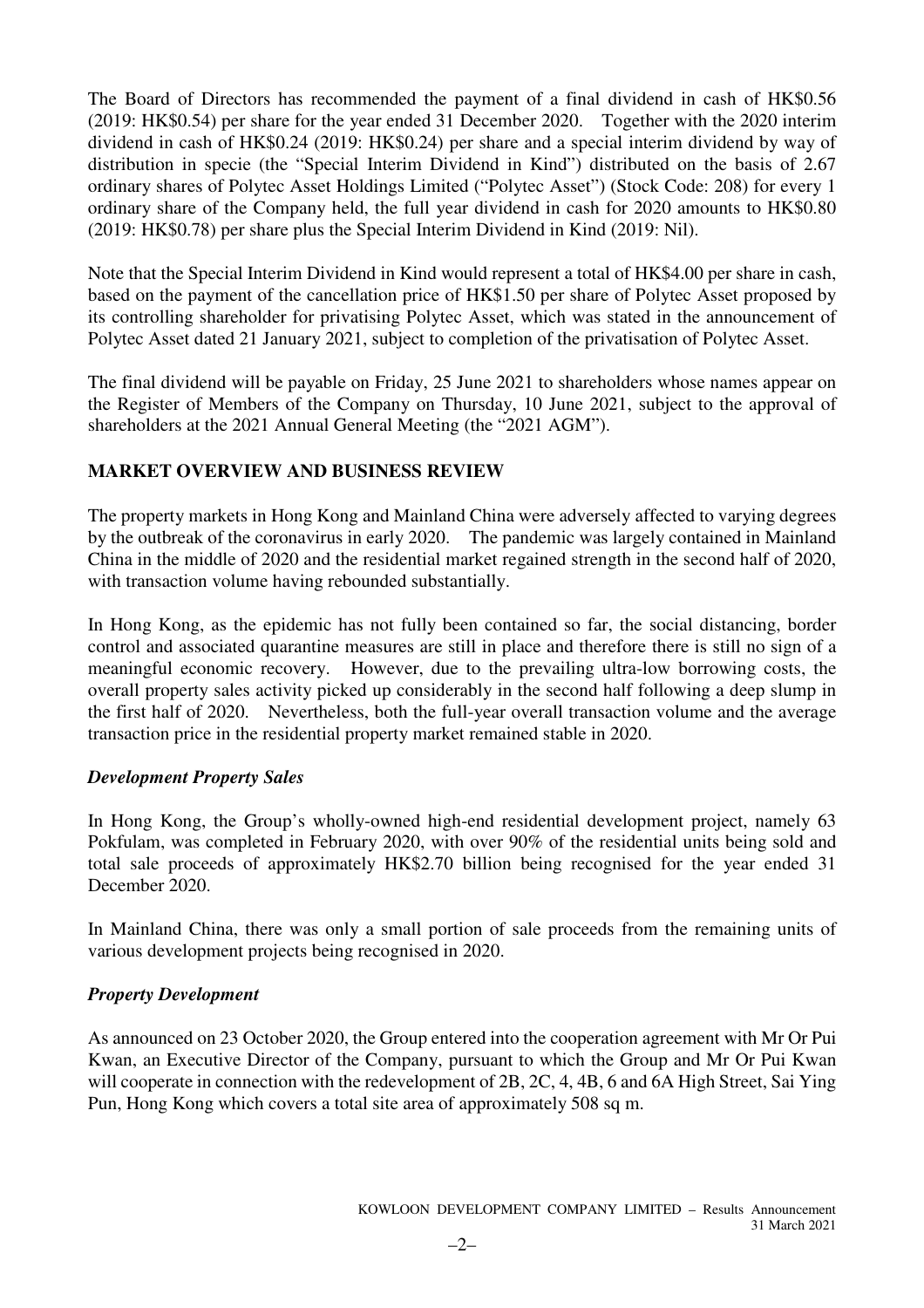The Board of Directors has recommended the payment of a final dividend in cash of HK\$0.56 (2019: HK\$0.54) per share for the year ended 31 December 2020. Together with the 2020 interim dividend in cash of HK\$0.24 (2019: HK\$0.24) per share and a special interim dividend by way of distribution in specie (the "Special Interim Dividend in Kind") distributed on the basis of 2.67 ordinary shares of Polytec Asset Holdings Limited ("Polytec Asset") (Stock Code: 208) for every 1 ordinary share of the Company held, the full year dividend in cash for 2020 amounts to HK\$0.80 (2019: HK\$0.78) per share plus the Special Interim Dividend in Kind (2019: Nil).

Note that the Special Interim Dividend in Kind would represent a total of HK\$4.00 per share in cash, based on the payment of the cancellation price of HK\$1.50 per share of Polytec Asset proposed by its controlling shareholder for privatising Polytec Asset, which was stated in the announcement of Polytec Asset dated 21 January 2021, subject to completion of the privatisation of Polytec Asset.

The final dividend will be payable on Friday, 25 June 2021 to shareholders whose names appear on the Register of Members of the Company on Thursday, 10 June 2021, subject to the approval of shareholders at the 2021 Annual General Meeting (the "2021 AGM").

### **MARKET OVERVIEW AND BUSINESS REVIEW**

The property markets in Hong Kong and Mainland China were adversely affected to varying degrees by the outbreak of the coronavirus in early 2020. The pandemic was largely contained in Mainland China in the middle of 2020 and the residential market regained strength in the second half of 2020, with transaction volume having rebounded substantially.

In Hong Kong, as the epidemic has not fully been contained so far, the social distancing, border control and associated quarantine measures are still in place and therefore there is still no sign of a meaningful economic recovery. However, due to the prevailing ultra-low borrowing costs, the overall property sales activity picked up considerably in the second half following a deep slump in the first half of 2020. Nevertheless, both the full-year overall transaction volume and the average transaction price in the residential property market remained stable in 2020.

### *Development Property Sales*

In Hong Kong, the Group's wholly-owned high-end residential development project, namely 63 Pokfulam, was completed in February 2020, with over 90% of the residential units being sold and total sale proceeds of approximately HK\$2.70 billion being recognised for the year ended 31 December 2020.

In Mainland China, there was only a small portion of sale proceeds from the remaining units of various development projects being recognised in 2020.

### *Property Development*

As announced on 23 October 2020, the Group entered into the cooperation agreement with Mr Or Pui Kwan, an Executive Director of the Company, pursuant to which the Group and Mr Or Pui Kwan will cooperate in connection with the redevelopment of 2B, 2C, 4, 4B, 6 and 6A High Street. Sai Ying Pun, Hong Kong which covers a total site area of approximately 508 sq m.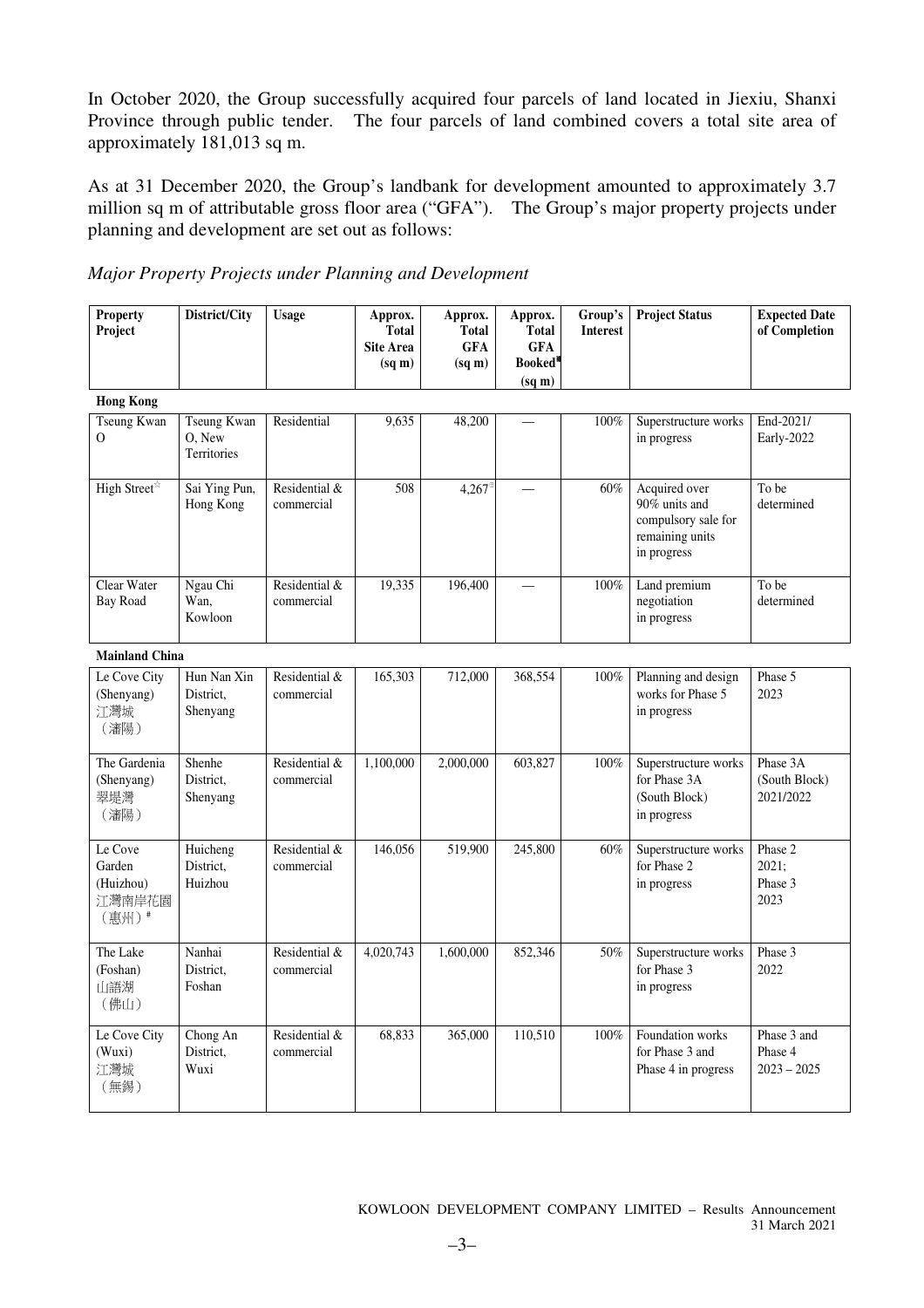In October 2020, the Group successfully acquired four parcels of land located in Jiexiu, Shanxi Province through public tender. The four parcels of land combined covers a total site area of approximately 181,013 sq m.

As at 31 December 2020, the Group's landbank for development amounted to approximately 3.7 million sq m of attributable gross floor area ("GFA"). The Group's major property projects under planning and development are set out as follows:

|  |  |  | Major Property Projects under Planning and Development |
|--|--|--|--------------------------------------------------------|
|  |  |  |                                                        |

| <b>Property</b><br>Project                        | District/City                               | <b>Usage</b>                | Approx.<br><b>Total</b><br><b>Site Area</b><br>$(sq \, \text{m})$ | Approx.<br><b>Total</b><br><b>GFA</b><br>$(sq \, m)$ | Approx.<br><b>Total</b><br><b>GFA</b><br>Booked*<br>$(sq \, \text{m})$ | Group's<br><b>Interest</b> | <b>Project Status</b>                                                                   | <b>Expected Date</b><br>of Completion   |
|---------------------------------------------------|---------------------------------------------|-----------------------------|-------------------------------------------------------------------|------------------------------------------------------|------------------------------------------------------------------------|----------------------------|-----------------------------------------------------------------------------------------|-----------------------------------------|
| <b>Hong Kong</b>                                  |                                             |                             |                                                                   |                                                      |                                                                        |                            |                                                                                         |                                         |
| <b>Tseung Kwan</b><br>$\mathbf{O}$                | <b>Tseung Kwan</b><br>O, New<br>Territories | Residential                 | 9,635                                                             | 48,200                                               |                                                                        | 100%                       | Superstructure works<br>in progress                                                     | End-2021/<br>Early-2022                 |
| High Street*                                      | Sai Ying Pun,<br>Hong Kong                  | Residential &<br>commercial | 508                                                               | 4,267                                                |                                                                        | 60%                        | Acquired over<br>90% units and<br>compulsory sale for<br>remaining units<br>in progress | To be<br>determined                     |
| Clear Water<br>Bay Road                           | Ngau Chi<br>Wan.<br>Kowloon                 | Residential &<br>commercial | 19,335                                                            | 196,400                                              |                                                                        | 100%                       | Land premium<br>negotiation<br>in progress                                              | To be<br>determined                     |
| <b>Mainland China</b>                             |                                             |                             |                                                                   |                                                      |                                                                        |                            |                                                                                         |                                         |
| Le Cove City<br>(Shenyang)<br>江灣城<br>(瀋陽)         | Hun Nan Xin<br>District,<br>Shenyang        | Residential &<br>commercial | 165,303                                                           | 712,000                                              | 368,554                                                                | 100%                       | Planning and design<br>works for Phase 5<br>in progress                                 | Phase 5<br>2023                         |
| The Gardenia<br>(Shenyang)<br>翠堤灣<br>(瀋陽)         | Shenhe<br>District,<br>Shenyang             | Residential &<br>commercial | 1,100,000                                                         | 2,000,000                                            | 603,827                                                                | 100%                       | Superstructure works<br>for Phase 3A<br>(South Block)<br>in progress                    | Phase 3A<br>(South Block)<br>2021/2022  |
| Le Cove<br>Garden<br>(Huizhou)<br>江灣南岸花園<br>(惠州)# | Huicheng<br>District,<br>Huizhou            | Residential &<br>commercial | 146,056                                                           | 519,900                                              | 245,800                                                                | 60%                        | Superstructure works<br>for Phase 2<br>in progress                                      | Phase 2<br>2021;<br>Phase 3<br>2023     |
| The Lake<br>(Foshan)<br>山語湖<br>(佛山)               | Nanhai<br>District,<br>Foshan               | Residential &<br>commercial | 4,020,743                                                         | 1,600,000                                            | 852,346                                                                | 50%                        | Superstructure works<br>for Phase 3<br>in progress                                      | Phase 3<br>2022                         |
| Le Cove City<br>(Wuxi)<br>江灣城<br>(無錫)             | Chong An<br>District,<br>Wuxi               | Residential &<br>commercial | 68,833                                                            | 365,000                                              | 110,510                                                                | 100%                       | Foundation works<br>for Phase 3 and<br>Phase 4 in progress                              | Phase 3 and<br>Phase 4<br>$2023 - 2025$ |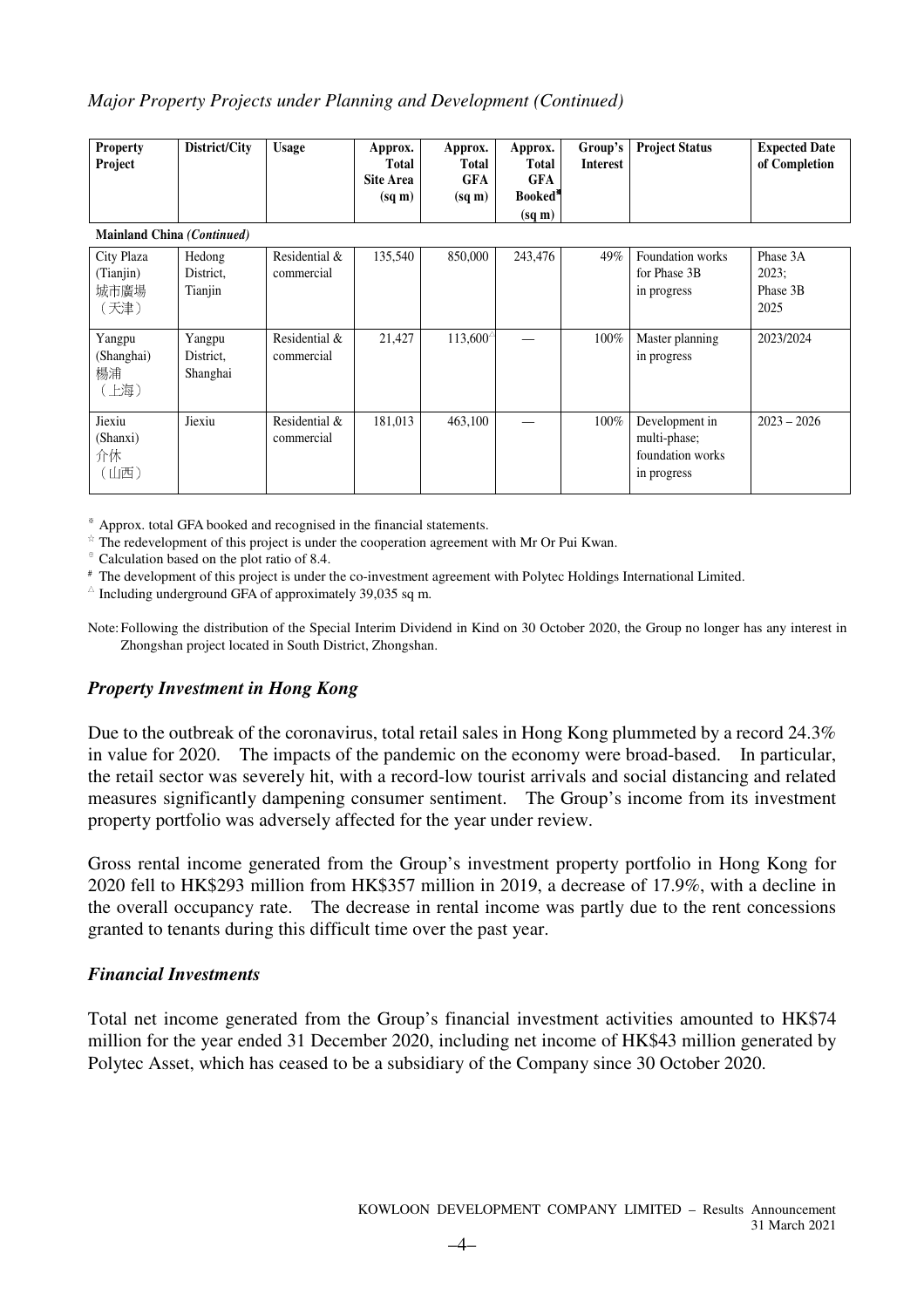### *Major Property Projects under Planning and Development (Continued)*

| <b>Property</b><br>Project | District/City | <b>Usage</b> | Approx.<br><b>Total</b><br><b>Site Area</b> | Approx.<br>Total<br>GFA | Approx.<br><b>Total</b><br>GFA | Interest | Group's   Project Status | <b>Expected Date</b><br>of Completion |
|----------------------------|---------------|--------------|---------------------------------------------|-------------------------|--------------------------------|----------|--------------------------|---------------------------------------|
|                            |               |              | $(sq \, m)$                                 | $(sq \, \text{m})$      | Booked <sup>®</sup>            |          |                          |                                       |
|                            |               |              |                                             |                         | $(sq \, \text{m})$             |          |                          |                                       |

#### **Mainland China** *(Continued)*

| City Plaza<br>(Tianjin)<br>城市廣場<br>(天津) | Hedong<br>District.<br>Tianjin  | Residential &<br>commercial | 135,540 | 850,000           | 243,476 | 49%     | Foundation works<br>for Phase 3B<br>in progress                   | Phase 3A<br>$2023$ ;<br>Phase 3B<br>2025 |
|-----------------------------------------|---------------------------------|-----------------------------|---------|-------------------|---------|---------|-------------------------------------------------------------------|------------------------------------------|
| Yangpu<br>(Shanghai)<br>楊浦<br>(上海)      | Yangpu<br>District.<br>Shanghai | Residential &<br>commercial | 21,427  | $113,600^{\circ}$ |         | $100\%$ | Master planning<br>in progress                                    | 2023/2024                                |
| Jiexiu<br>(Shanxi)<br>介休<br>(山西)        | Jiexiu                          | Residential &<br>commercial | 181,013 | 463,100           |         | $100\%$ | Development in<br>multi-phase;<br>foundation works<br>in progress | $2023 - 2026$                            |

※ Approx. total GFA booked and recognised in the financial statements.

☆ The redevelopment of this project is under the cooperation agreement with Mr Or Pui Kwan.

⊕ Calculation based on the plot ratio of 8.4.

# The development of this project is under the co-investment agreement with Polytec Holdings International Limited.

 $\triangle$  Including underground GFA of approximately 39,035 sq m.

Note: Following the distribution of the Special Interim Dividend in Kind on 30 October 2020, the Group no longer has any interest in Zhongshan project located in South District, Zhongshan.

### *Property Investment in Hong Kong*

Due to the outbreak of the coronavirus, total retail sales in Hong Kong plummeted by a record 24.3% in value for 2020. The impacts of the pandemic on the economy were broad-based. In particular, the retail sector was severely hit, with a record-low tourist arrivals and social distancing and related measures significantly dampening consumer sentiment. The Group's income from its investment property portfolio was adversely affected for the year under review.

Gross rental income generated from the Group's investment property portfolio in Hong Kong for 2020 fell to HK\$293 million from HK\$357 million in 2019, a decrease of 17.9%, with a decline in the overall occupancy rate. The decrease in rental income was partly due to the rent concessions granted to tenants during this difficult time over the past year.

### *Financial Investments*

Total net income generated from the Group's financial investment activities amounted to HK\$74 million for the year ended 31 December 2020, including net income of HK\$43 million generated by Polytec Asset, which has ceased to be a subsidiary of the Company since 30 October 2020.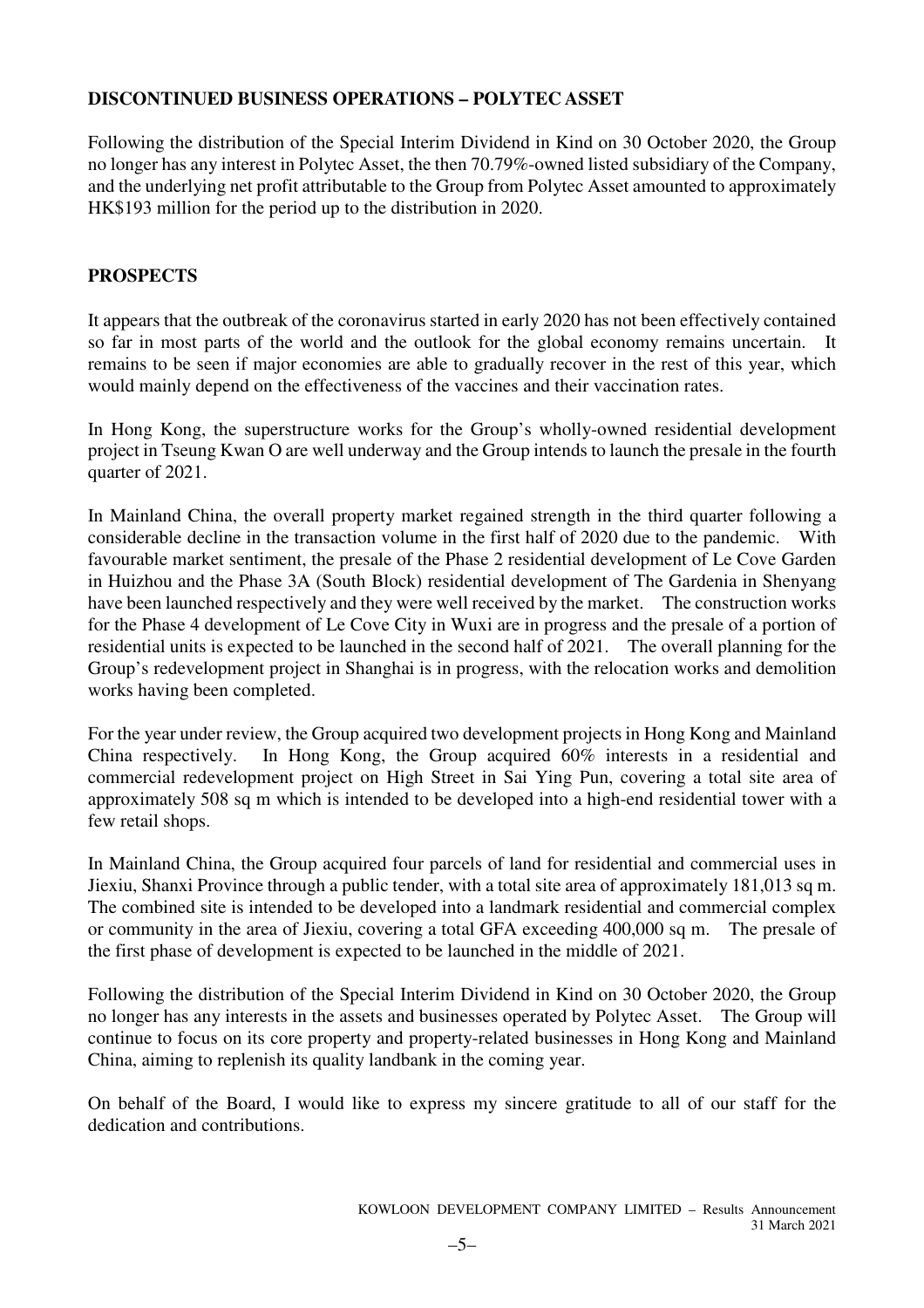### **DISCONTINUED BUSINESS OPERATIONS – POLYTEC ASSET**

Following the distribution of the Special Interim Dividend in Kind on 30 October 2020, the Group no longer has any interest in Polytec Asset, the then 70.79%-owned listed subsidiary of the Company, and the underlying net profit attributable to the Group from Polytec Asset amounted to approximately HK\$193 million for the period up to the distribution in 2020.

### **PROSPECTS**

It appears that the outbreak of the coronavirus started in early 2020 has not been effectively contained so far in most parts of the world and the outlook for the global economy remains uncertain. It remains to be seen if major economies are able to gradually recover in the rest of this year, which would mainly depend on the effectiveness of the vaccines and their vaccination rates.

In Hong Kong, the superstructure works for the Group's wholly-owned residential development project in Tseung Kwan O are well underway and the Group intends to launch the presale in the fourth quarter of 2021.

In Mainland China, the overall property market regained strength in the third quarter following a considerable decline in the transaction volume in the first half of 2020 due to the pandemic. With favourable market sentiment, the presale of the Phase 2 residential development of Le Cove Garden in Huizhou and the Phase 3A (South Block) residential development of The Gardenia in Shenyang have been launched respectively and they were well received by the market. The construction works for the Phase 4 development of Le Cove City in Wuxi are in progress and the presale of a portion of residential units is expected to be launched in the second half of 2021. The overall planning for the Group's redevelopment project in Shanghai is in progress, with the relocation works and demolition works having been completed.

For the year under review, the Group acquired two development projects in Hong Kong and Mainland China respectively. In Hong Kong, the Group acquired 60% interests in a residential and commercial redevelopment project on High Street in Sai Ying Pun, covering a total site area of approximately 508 sq m which is intended to be developed into a high-end residential tower with a few retail shops.

In Mainland China, the Group acquired four parcels of land for residential and commercial uses in Jiexiu, Shanxi Province through a public tender, with a total site area of approximately 181,013 sq m. The combined site is intended to be developed into a landmark residential and commercial complex or community in the area of Jiexiu, covering a total GFA exceeding 400,000 sq m. The presale of the first phase of development is expected to be launched in the middle of 2021.

Following the distribution of the Special Interim Dividend in Kind on 30 October 2020, the Group no longer has any interests in the assets and businesses operated by Polytec Asset. The Group will continue to focus on its core property and property-related businesses in Hong Kong and Mainland China, aiming to replenish its quality landbank in the coming year.

On behalf of the Board, I would like to express my sincere gratitude to all of our staff for the dedication and contributions.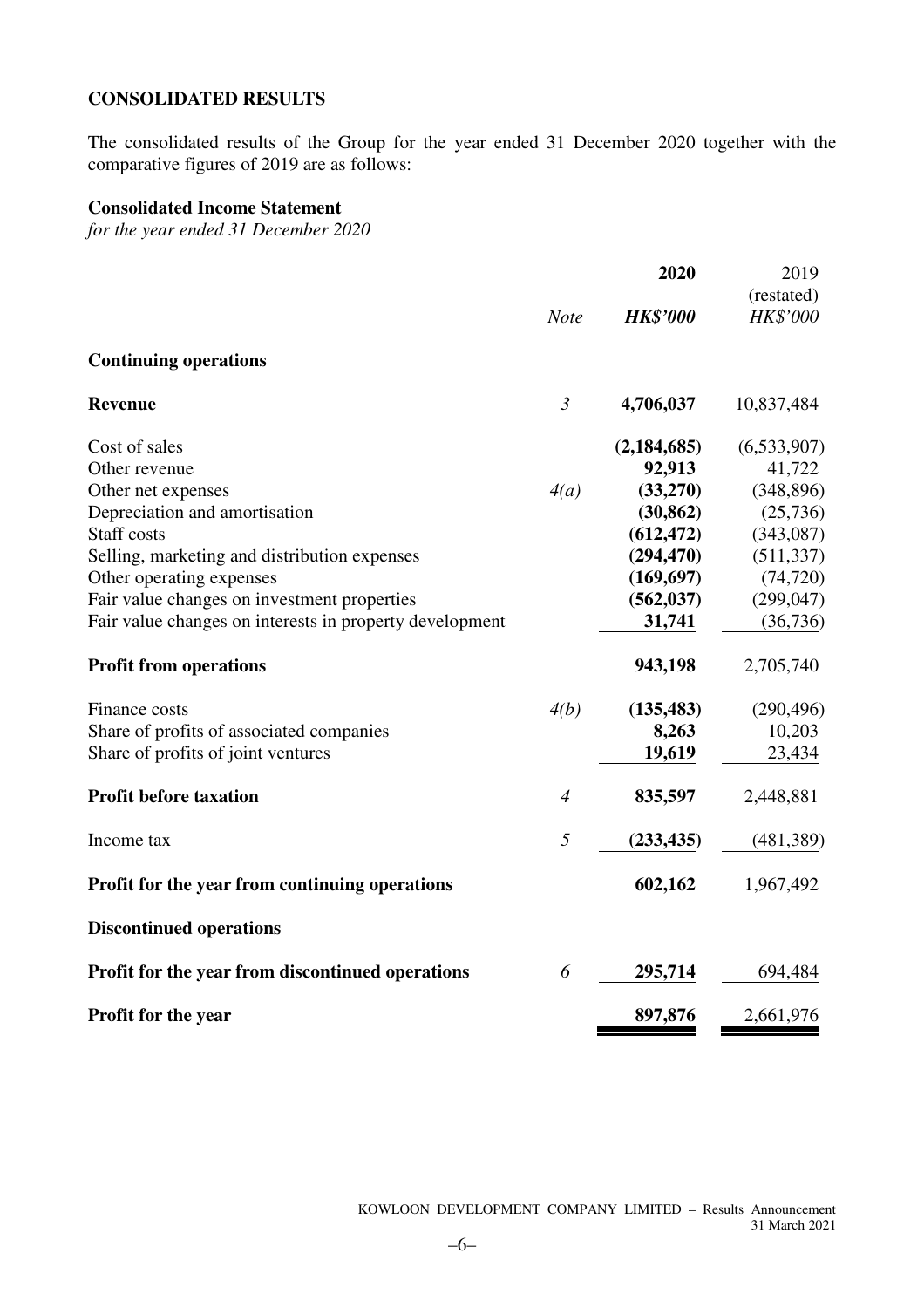### **CONSOLIDATED RESULTS**

The consolidated results of the Group for the year ended 31 December 2020 together with the comparative figures of 2019 are as follows:

### **Consolidated Income Statement**

*for the year ended 31 December 2020*

|                                                         |                | 2020            | 2019        |
|---------------------------------------------------------|----------------|-----------------|-------------|
|                                                         |                |                 | (restated)  |
|                                                         | <b>Note</b>    | <b>HK\$'000</b> | HK\$'000    |
| <b>Continuing operations</b>                            |                |                 |             |
| <b>Revenue</b>                                          | $\mathfrak{Z}$ | 4,706,037       | 10,837,484  |
| Cost of sales                                           |                | (2, 184, 685)   | (6,533,907) |
| Other revenue                                           |                | 92,913          | 41,722      |
| Other net expenses                                      | 4(a)           | (33,270)        | (348, 896)  |
| Depreciation and amortisation                           |                | (30, 862)       | (25,736)    |
| Staff costs                                             |                | (612, 472)      | (343,087)   |
| Selling, marketing and distribution expenses            |                | (294, 470)      | (511, 337)  |
| Other operating expenses                                |                | (169, 697)      | (74, 720)   |
| Fair value changes on investment properties             |                | (562, 037)      | (299, 047)  |
| Fair value changes on interests in property development |                | 31,741          | (36,736)    |
| <b>Profit from operations</b>                           |                | 943,198         | 2,705,740   |
| Finance costs                                           | 4(b)           | (135, 483)      | (290, 496)  |
| Share of profits of associated companies                |                | 8,263           | 10,203      |
| Share of profits of joint ventures                      |                | 19,619          | 23,434      |
| <b>Profit before taxation</b>                           | $\overline{4}$ | 835,597         | 2,448,881   |
| Income tax                                              | 5              | (233, 435)      | (481, 389)  |
| Profit for the year from continuing operations          |                | 602,162         | 1,967,492   |
| <b>Discontinued operations</b>                          |                |                 |             |
| Profit for the year from discontinued operations        | 6              | 295,714         | 694,484     |
| <b>Profit for the year</b>                              |                | 897,876         | 2,661,976   |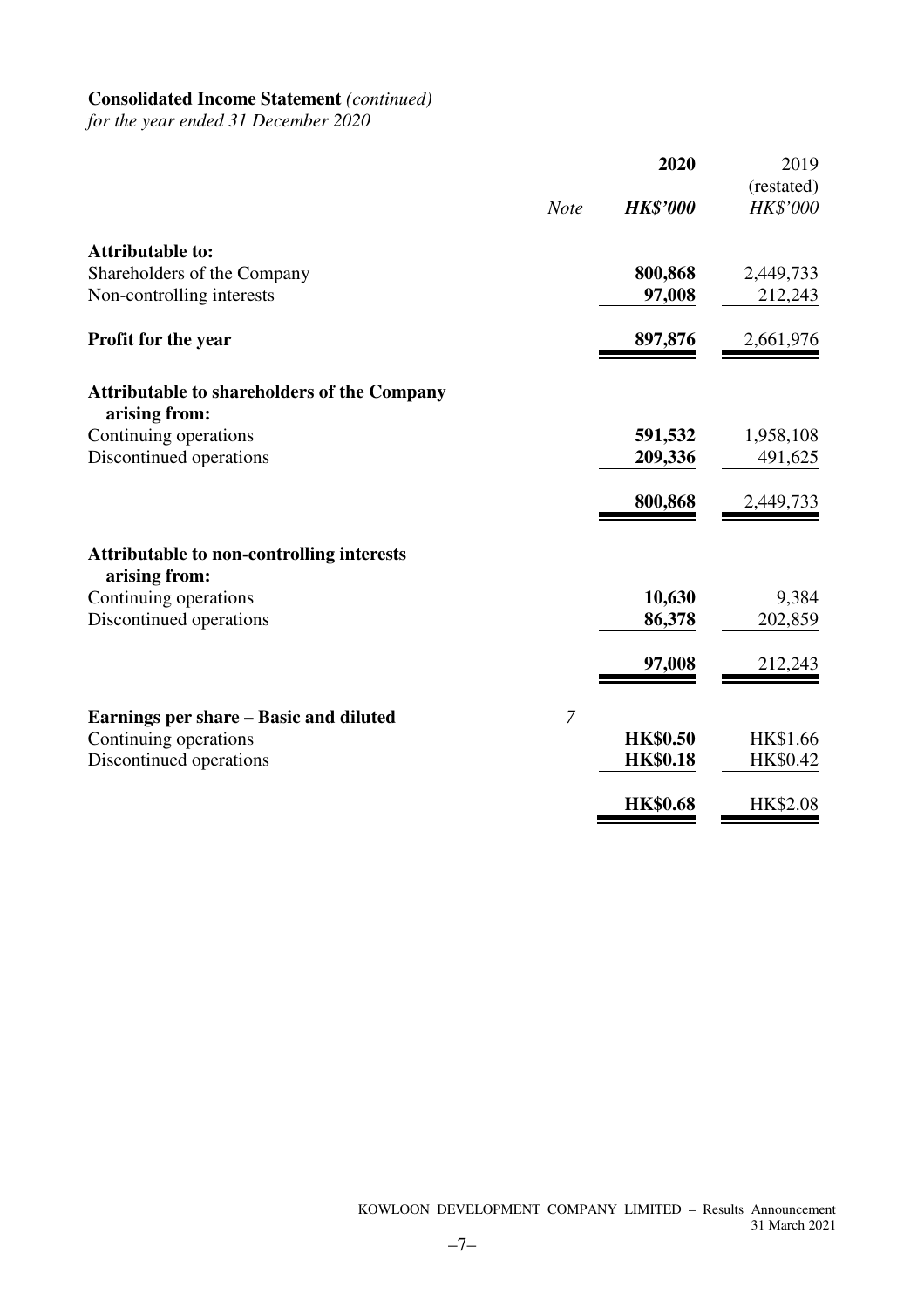# **Consolidated Income Statement** *(continued)*

*for the year ended 31 December 2020*

|                                                                   | 2020            | 2019       |
|-------------------------------------------------------------------|-----------------|------------|
|                                                                   |                 | (restated) |
| <b>Note</b>                                                       | <b>HK\$'000</b> | HK\$'000   |
| <b>Attributable to:</b>                                           |                 |            |
| Shareholders of the Company                                       | 800,868         | 2,449,733  |
| Non-controlling interests                                         | 97,008          | 212,243    |
| Profit for the year                                               | 897,876         | 2,661,976  |
| <b>Attributable to shareholders of the Company</b>                |                 |            |
| arising from:                                                     |                 |            |
| Continuing operations                                             | 591,532         | 1,958,108  |
| Discontinued operations                                           | 209,336         | 491,625    |
|                                                                   | 800,868         | 2,449,733  |
| <b>Attributable to non-controlling interests</b><br>arising from: |                 |            |
| Continuing operations                                             | 10,630          | 9,384      |
| Discontinued operations                                           | 86,378          | 202,859    |
|                                                                   | 97,008          | 212,243    |
| $\overline{7}$<br>Earnings per share – Basic and diluted          |                 |            |
| Continuing operations                                             | <b>HK\$0.50</b> | HK\$1.66   |
| Discontinued operations                                           | <b>HK\$0.18</b> | HK\$0.42   |
|                                                                   |                 |            |
|                                                                   | <b>HK\$0.68</b> | HK\$2.08   |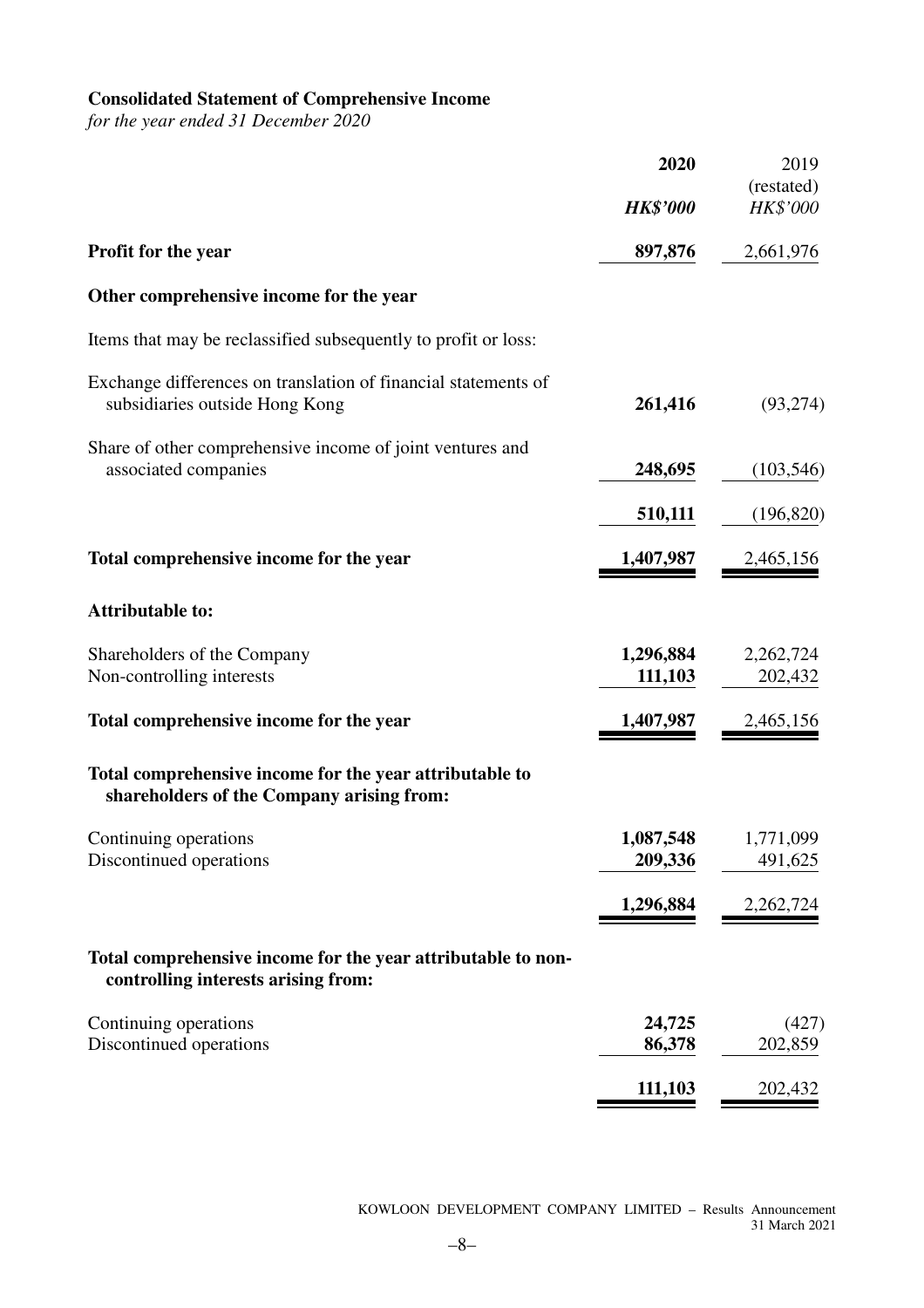# **Consolidated Statement of Comprehensive Income**

*for the year ended 31 December 2020*

|                                                                                                      | 2020                 | 2019                   |
|------------------------------------------------------------------------------------------------------|----------------------|------------------------|
|                                                                                                      | <b>HK\$'000</b>      | (restated)<br>HK\$'000 |
| Profit for the year                                                                                  | 897,876              | 2,661,976              |
| Other comprehensive income for the year                                                              |                      |                        |
| Items that may be reclassified subsequently to profit or loss:                                       |                      |                        |
| Exchange differences on translation of financial statements of<br>subsidiaries outside Hong Kong     | 261,416              | (93, 274)              |
| Share of other comprehensive income of joint ventures and<br>associated companies                    | 248,695              | (103, 546)             |
|                                                                                                      | 510,111              | (196, 820)             |
| Total comprehensive income for the year                                                              | 1,407,987            | 2,465,156              |
| <b>Attributable to:</b>                                                                              |                      |                        |
| Shareholders of the Company<br>Non-controlling interests                                             | 1,296,884<br>111,103 | 2,262,724<br>202,432   |
| Total comprehensive income for the year                                                              | 1,407,987            | 2,465,156              |
| Total comprehensive income for the year attributable to<br>shareholders of the Company arising from: |                      |                        |
| Continuing operations<br>Discontinued operations                                                     | 1,087,548<br>209,336 | 1,771,099<br>491,625   |
|                                                                                                      | <u>1,296,884</u>     | 2,262,724              |
| Total comprehensive income for the year attributable to non-<br>controlling interests arising from:  |                      |                        |
| Continuing operations<br>Discontinued operations                                                     | 24,725<br>86,378     | (427)<br>202,859       |
|                                                                                                      | 111,103              | 202,432                |
|                                                                                                      |                      |                        |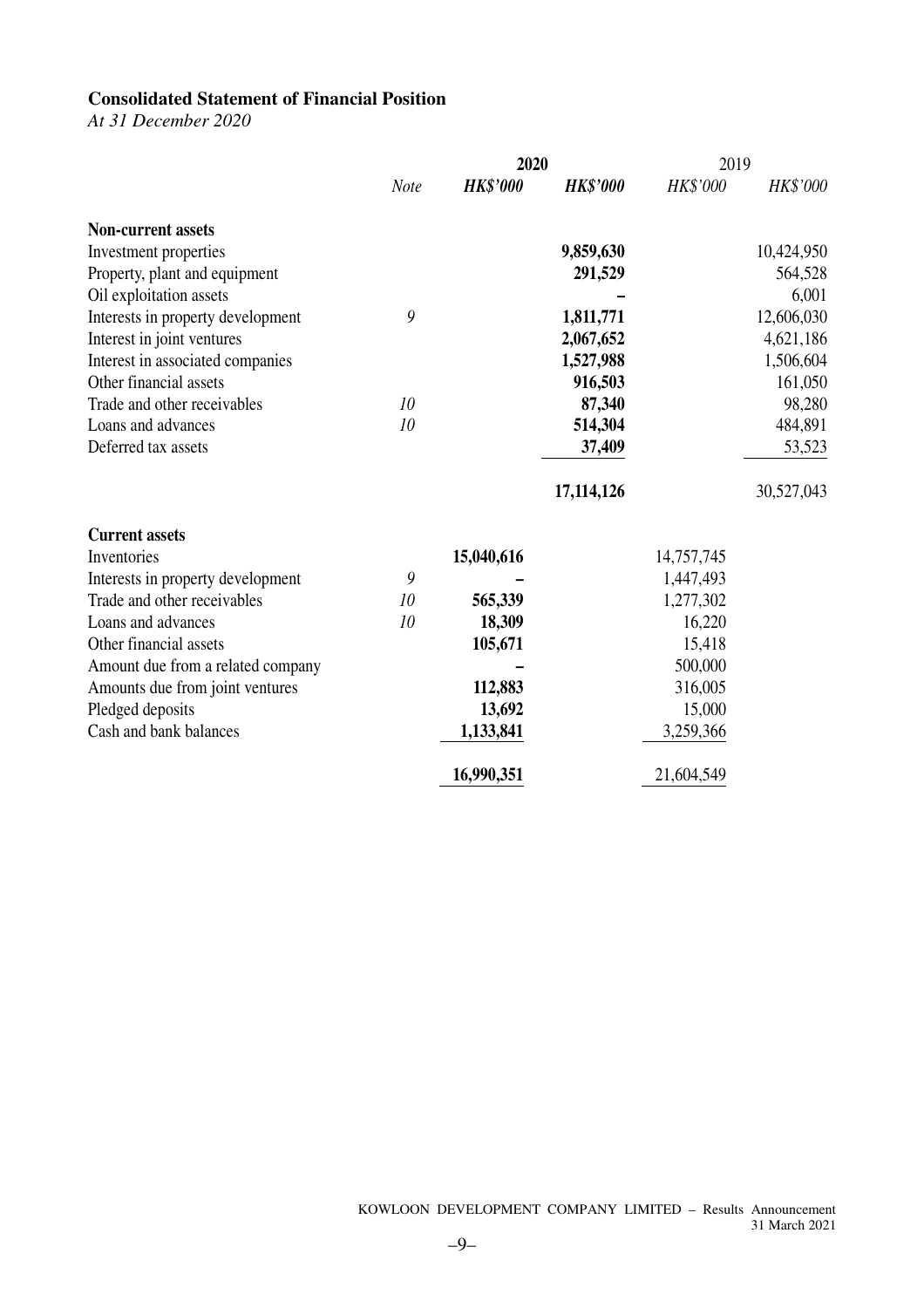## **Consolidated Statement of Financial Position**

*At 31 December 2020*

|                                   |      | 2020            |                 | 2019       |            |
|-----------------------------------|------|-----------------|-----------------|------------|------------|
|                                   | Note | <b>HK\$'000</b> | <b>HK\$'000</b> | HK\$'000   | HK\$'000   |
| <b>Non-current assets</b>         |      |                 |                 |            |            |
| Investment properties             |      |                 | 9,859,630       |            | 10,424,950 |
| Property, plant and equipment     |      |                 | 291,529         |            | 564,528    |
| Oil exploitation assets           |      |                 |                 |            | 6,001      |
| Interests in property development | 9    |                 | 1,811,771       |            | 12,606,030 |
| Interest in joint ventures        |      |                 | 2,067,652       |            | 4,621,186  |
| Interest in associated companies  |      |                 | 1,527,988       |            | 1,506,604  |
| Other financial assets            |      |                 | 916,503         |            | 161,050    |
| Trade and other receivables       | 10   |                 | 87,340          |            | 98,280     |
| Loans and advances                | 10   |                 | 514,304         |            | 484,891    |
| Deferred tax assets               |      |                 | 37,409          |            | 53,523     |
|                                   |      |                 | 17,114,126      |            | 30,527,043 |
| <b>Current assets</b>             |      |                 |                 |            |            |
| Inventories                       |      | 15,040,616      |                 | 14,757,745 |            |
| Interests in property development | 9    |                 |                 | 1,447,493  |            |
| Trade and other receivables       | 10   | 565,339         |                 | 1,277,302  |            |
| Loans and advances                | 10   | 18,309          |                 | 16,220     |            |
| Other financial assets            |      | 105,671         |                 | 15,418     |            |
| Amount due from a related company |      |                 |                 | 500,000    |            |
| Amounts due from joint ventures   |      | 112,883         |                 | 316,005    |            |
| Pledged deposits                  |      | 13,692          |                 | 15,000     |            |
| Cash and bank balances            |      | 1,133,841       |                 | 3,259,366  |            |
|                                   |      | 16,990,351      |                 | 21,604,549 |            |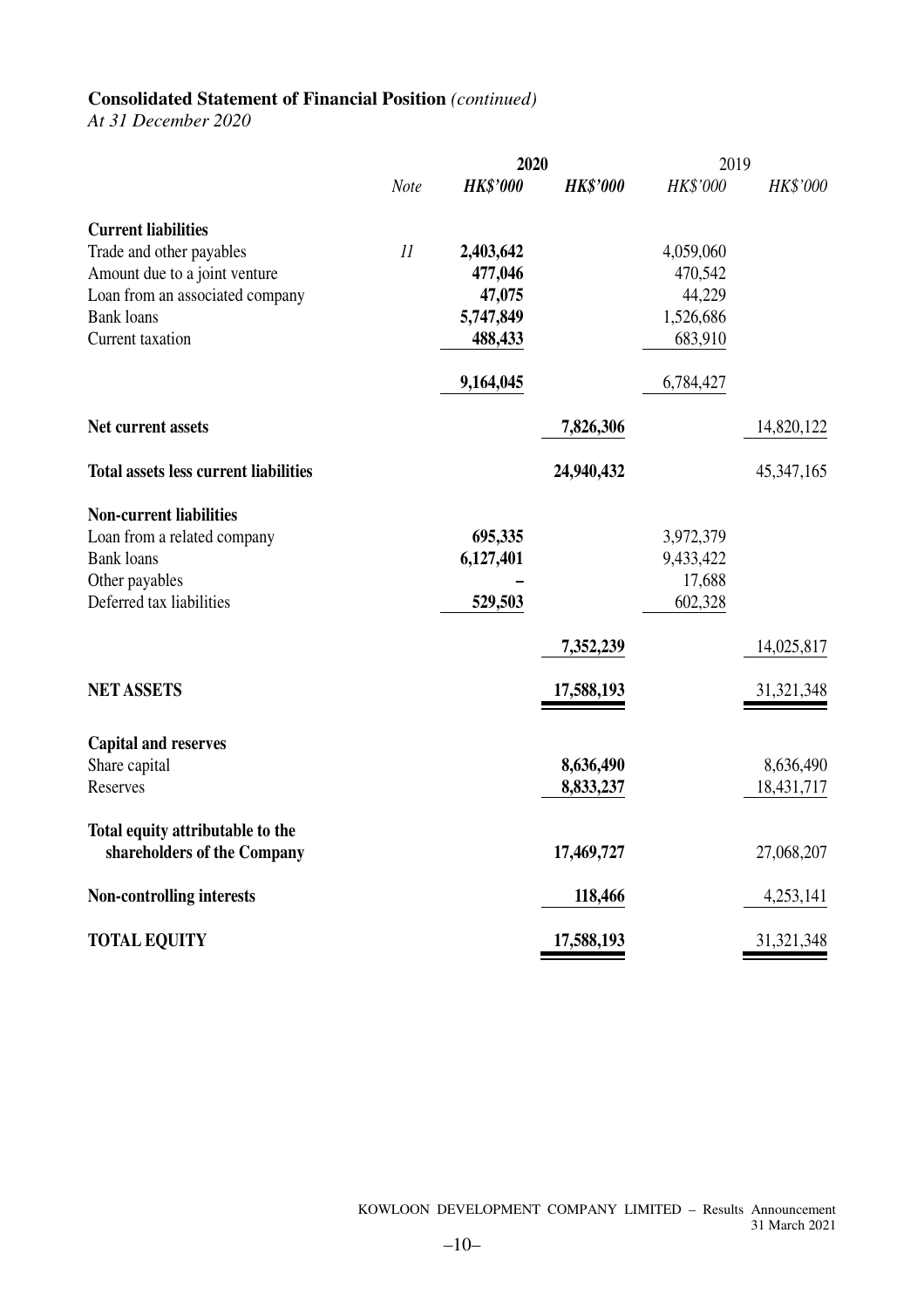# **Consolidated Statement of Financial Position** *(continued)*

*At 31 December 2020*

|                                                                 |      | 2020            |                 | 2019      |              |  |
|-----------------------------------------------------------------|------|-----------------|-----------------|-----------|--------------|--|
|                                                                 | Note | <b>HK\$'000</b> | <b>HK\$'000</b> | HK\$'000  | HK\$'000     |  |
| <b>Current liabilities</b>                                      |      |                 |                 |           |              |  |
| Trade and other payables                                        | 11   | 2,403,642       |                 | 4,059,060 |              |  |
| Amount due to a joint venture                                   |      | 477,046         |                 | 470,542   |              |  |
| Loan from an associated company                                 |      | 47,075          |                 | 44,229    |              |  |
| <b>Bank</b> loans                                               |      | 5,747,849       |                 | 1,526,686 |              |  |
| Current taxation                                                |      | 488,433         |                 | 683,910   |              |  |
|                                                                 |      | 9,164,045       |                 | 6,784,427 |              |  |
| Net current assets                                              |      |                 | 7,826,306       |           | 14,820,122   |  |
| <b>Total assets less current liabilities</b>                    |      |                 | 24,940,432      |           | 45, 347, 165 |  |
| <b>Non-current liabilities</b>                                  |      |                 |                 |           |              |  |
| Loan from a related company                                     |      | 695,335         |                 | 3,972,379 |              |  |
| <b>Bank</b> loans                                               |      | 6,127,401       |                 | 9,433,422 |              |  |
| Other payables                                                  |      |                 |                 | 17,688    |              |  |
| Deferred tax liabilities                                        |      | 529,503         |                 | 602,328   |              |  |
|                                                                 |      |                 | 7,352,239       |           | 14,025,817   |  |
| <b>NET ASSETS</b>                                               |      |                 | 17,588,193      |           | 31, 321, 348 |  |
| <b>Capital and reserves</b>                                     |      |                 |                 |           |              |  |
| Share capital                                                   |      |                 | 8,636,490       |           | 8,636,490    |  |
| Reserves                                                        |      |                 | 8,833,237       |           | 18,431,717   |  |
| Total equity attributable to the<br>shareholders of the Company |      |                 | 17,469,727      |           | 27,068,207   |  |
|                                                                 |      |                 |                 |           |              |  |
| <b>Non-controlling interests</b>                                |      |                 | 118,466         |           | 4,253,141    |  |
| <b>TOTAL EQUITY</b>                                             |      |                 | 17,588,193      |           | 31, 321, 348 |  |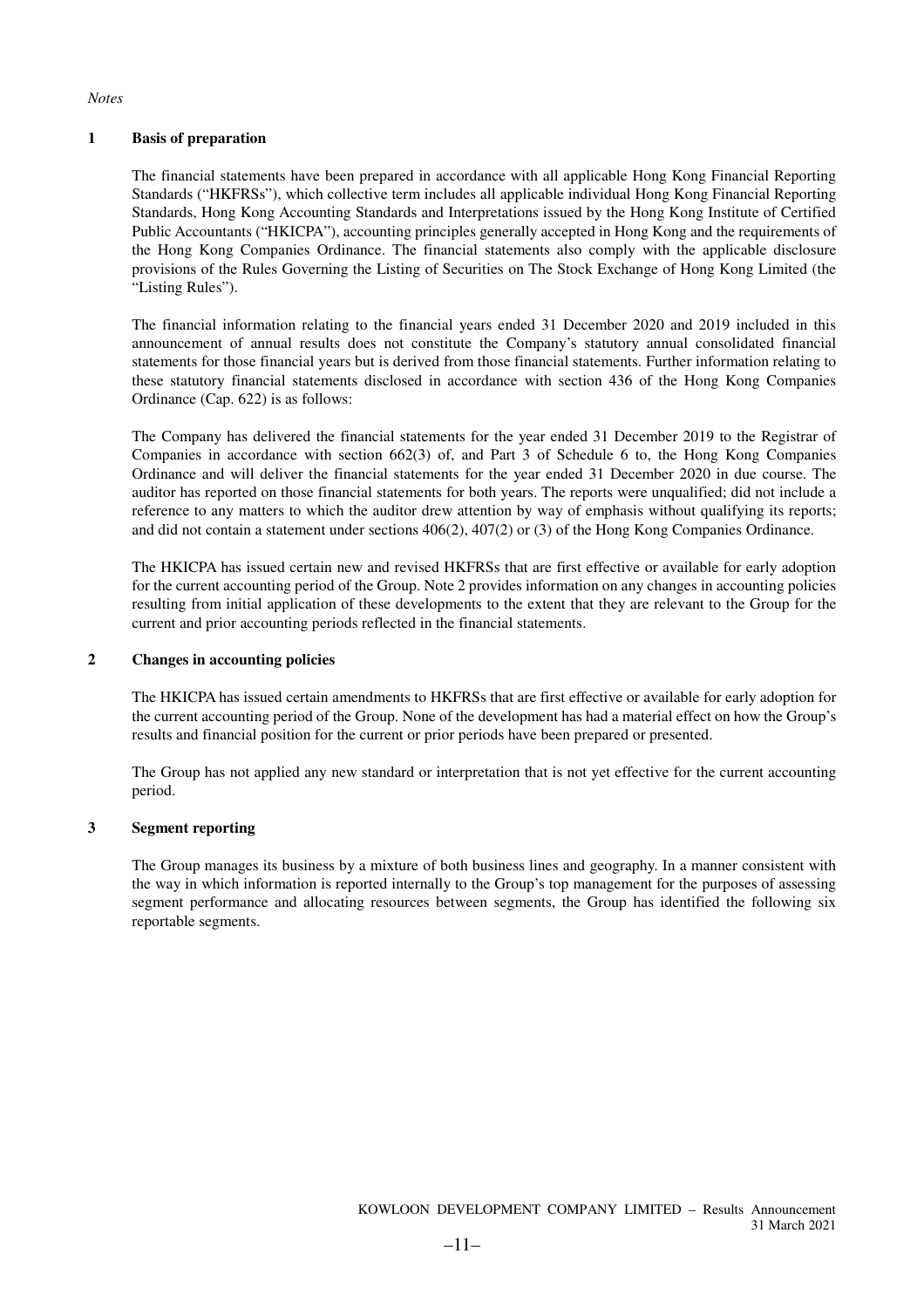*Notes* 

#### **1 Basis of preparation**

The financial statements have been prepared in accordance with all applicable Hong Kong Financial Reporting Standards ("HKFRSs"), which collective term includes all applicable individual Hong Kong Financial Reporting Standards, Hong Kong Accounting Standards and Interpretations issued by the Hong Kong Institute of Certified Public Accountants ("HKICPA"), accounting principles generally accepted in Hong Kong and the requirements of the Hong Kong Companies Ordinance. The financial statements also comply with the applicable disclosure provisions of the Rules Governing the Listing of Securities on The Stock Exchange of Hong Kong Limited (the "Listing Rules").

The financial information relating to the financial years ended 31 December 2020 and 2019 included in this announcement of annual results does not constitute the Company's statutory annual consolidated financial statements for those financial years but is derived from those financial statements. Further information relating to these statutory financial statements disclosed in accordance with section 436 of the Hong Kong Companies Ordinance (Cap. 622) is as follows:

The Company has delivered the financial statements for the year ended 31 December 2019 to the Registrar of Companies in accordance with section 662(3) of, and Part 3 of Schedule 6 to, the Hong Kong Companies Ordinance and will deliver the financial statements for the year ended 31 December 2020 in due course. The auditor has reported on those financial statements for both years. The reports were unqualified; did not include a reference to any matters to which the auditor drew attention by way of emphasis without qualifying its reports; and did not contain a statement under sections 406(2), 407(2) or (3) of the Hong Kong Companies Ordinance.

The HKICPA has issued certain new and revised HKFRSs that are first effective or available for early adoption for the current accounting period of the Group. Note 2 provides information on any changes in accounting policies resulting from initial application of these developments to the extent that they are relevant to the Group for the current and prior accounting periods reflected in the financial statements.

#### **2 Changes in accounting policies**

The HKICPA has issued certain amendments to HKFRSs that are first effective or available for early adoption for the current accounting period of the Group. None of the development has had a material effect on how the Group's results and financial position for the current or prior periods have been prepared or presented.

The Group has not applied any new standard or interpretation that is not yet effective for the current accounting period.

#### **3 Segment reporting**

The Group manages its business by a mixture of both business lines and geography. In a manner consistent with the way in which information is reported internally to the Group's top management for the purposes of assessing segment performance and allocating resources between segments, the Group has identified the following six reportable segments.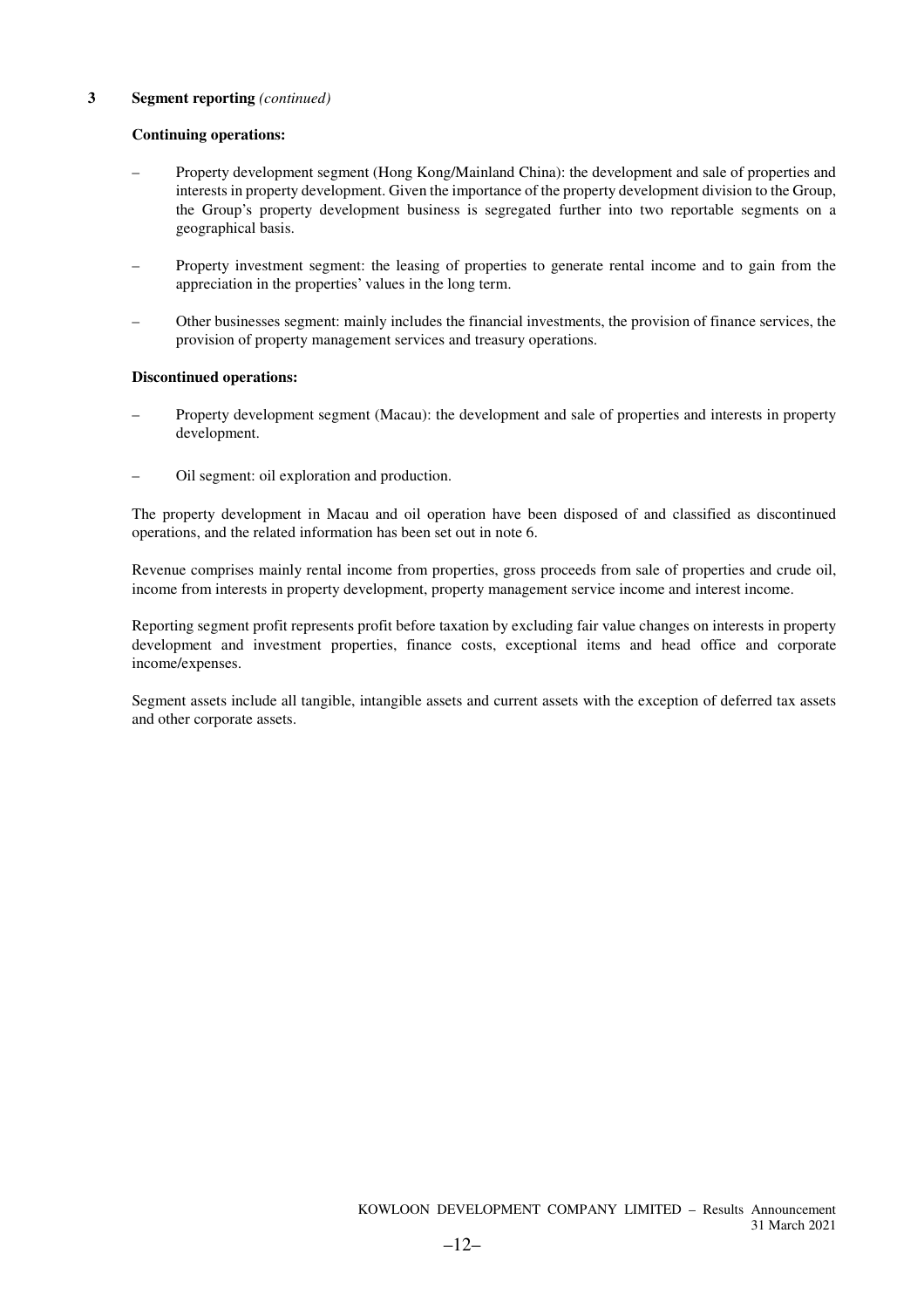#### **Continuing operations:**

- Property development segment (Hong Kong/Mainland China): the development and sale of properties and interests in property development. Given the importance of the property development division to the Group, the Group's property development business is segregated further into two reportable segments on a geographical basis.
- Property investment segment: the leasing of properties to generate rental income and to gain from the appreciation in the properties' values in the long term.
- Other businesses segment: mainly includes the financial investments, the provision of finance services, the provision of property management services and treasury operations.

#### **Discontinued operations:**

- Property development segment (Macau): the development and sale of properties and interests in property development.
- Oil segment: oil exploration and production.

The property development in Macau and oil operation have been disposed of and classified as discontinued operations, and the related information has been set out in note 6.

Revenue comprises mainly rental income from properties, gross proceeds from sale of properties and crude oil, income from interests in property development, property management service income and interest income.

Reporting segment profit represents profit before taxation by excluding fair value changes on interests in property development and investment properties, finance costs, exceptional items and head office and corporate income/expenses.

Segment assets include all tangible, intangible assets and current assets with the exception of deferred tax assets and other corporate assets.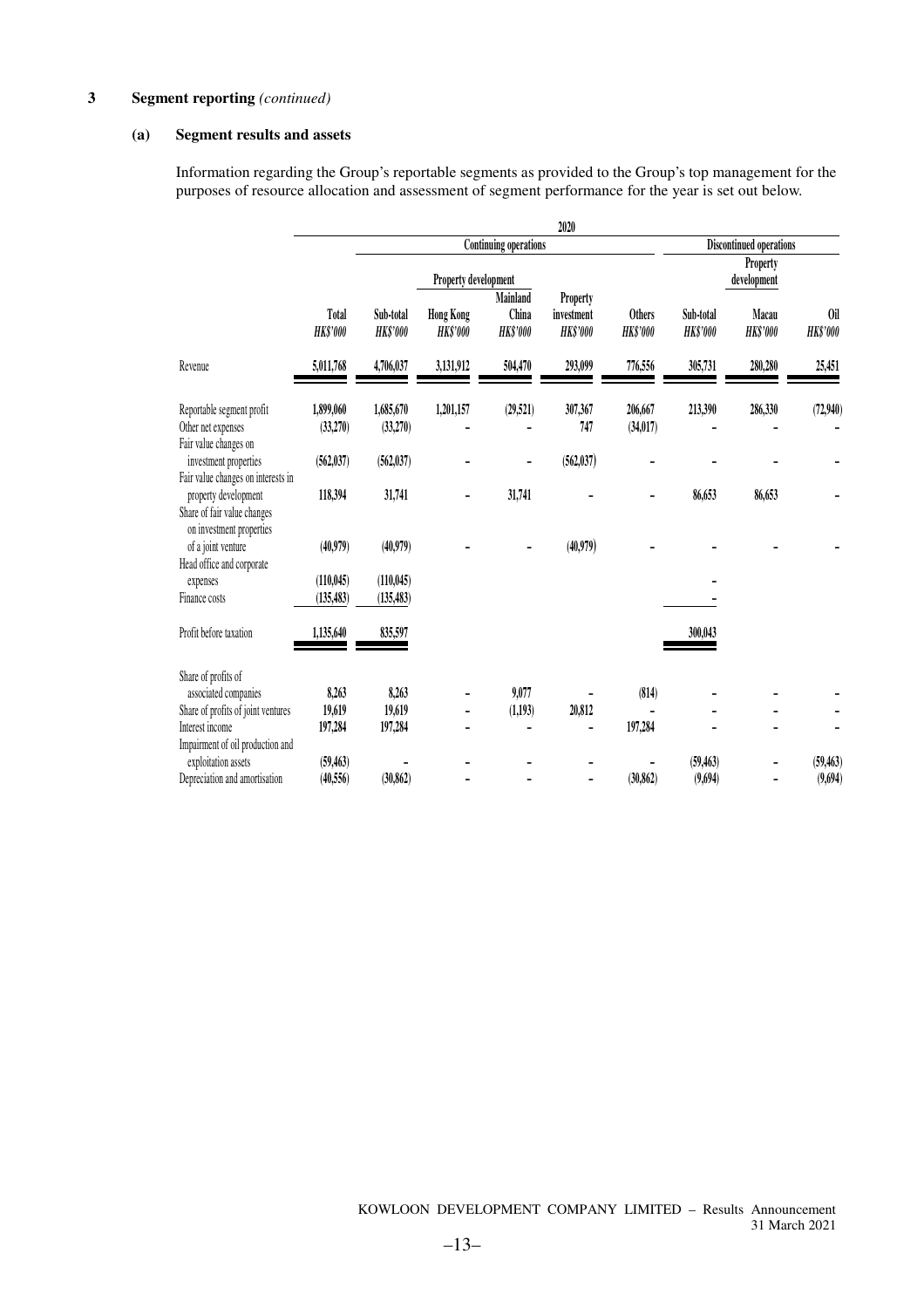#### **(a) Segment results and assets**

Information regarding the Group's reportable segments as provided to the Group's top management for the purposes of resource allocation and assessment of segment performance for the year is set out below.

|                                                                                 |                          |                              |                                     |                                      | 2020                                             |                                  |                              |                          |                        |  |
|---------------------------------------------------------------------------------|--------------------------|------------------------------|-------------------------------------|--------------------------------------|--------------------------------------------------|----------------------------------|------------------------------|--------------------------|------------------------|--|
|                                                                                 |                          |                              |                                     | <b>Continuing operations</b>         |                                                  |                                  | Discontinued operations      |                          |                        |  |
|                                                                                 |                          |                              | Property development                |                                      |                                                  |                                  |                              | Property<br>development  |                        |  |
|                                                                                 | Total<br><b>HK\$'000</b> | Sub-total<br><b>HK\$'000</b> | <b>Hong Kong</b><br><b>HK\$'000</b> | Mainland<br>China<br><b>HK\$'000</b> | <b>Property</b><br>investment<br><b>HK\$'000</b> | <b>Others</b><br><b>HK\$'000</b> | Sub-total<br><b>HK\$'000</b> | Macau<br><b>HK\$'000</b> | 0il<br><b>HK\$'000</b> |  |
| Revenue                                                                         | 5,011,768                | 4,706,037                    | 3,131,912                           | 504,470                              | 293,099                                          | 776,556                          | 305,731                      | 280,280                  | 25,451                 |  |
| Reportable segment profit<br>Other net expenses<br>Fair value changes on        | 1,899,060<br>(33,270)    | 1,685,670<br>(33,270)        | 1,201,157                           | (29, 521)                            | 307,367<br>747                                   | 206,667<br>(34, 017)             | 213,390                      | 286,330                  | (72,940)               |  |
| investment properties<br>Fair value changes on interests in                     | (562, 037)               | (562, 037)                   |                                     |                                      | (562, 037)                                       |                                  |                              |                          |                        |  |
| property development<br>Share of fair value changes<br>on investment properties | 118,394                  | 31,741                       |                                     | 31,741                               |                                                  |                                  | 86,653                       | 86,653                   |                        |  |
| of a joint venture<br>Head office and corporate                                 | (40,979)                 | (40,979)                     |                                     |                                      | (40, 979)                                        |                                  |                              |                          |                        |  |
| expenses                                                                        | (110, 045)               | (110, 045)                   |                                     |                                      |                                                  |                                  |                              |                          |                        |  |
| Finance costs                                                                   | (135, 483)               | (135, 483)                   |                                     |                                      |                                                  |                                  |                              |                          |                        |  |
| Profit before taxation                                                          | 1,135,640                | 835,597                      |                                     |                                      |                                                  |                                  | 300,043                      |                          |                        |  |
| Share of profits of                                                             |                          |                              |                                     |                                      |                                                  |                                  |                              |                          |                        |  |
| associated companies                                                            | 8,263                    | 8,263                        |                                     | 9,077                                |                                                  | (814)                            |                              |                          |                        |  |
| Share of profits of joint ventures                                              | 19,619                   | 19,619                       |                                     | (1,193)                              | 20,812                                           |                                  |                              |                          |                        |  |
| Interest income<br>Impairment of oil production and                             | 197,284                  | 197,284                      |                                     |                                      |                                                  | 197,284                          |                              |                          |                        |  |
| exploitation assets                                                             | (59, 463)                |                              |                                     |                                      |                                                  |                                  | (59, 463)                    |                          | (59, 463)              |  |
| Depreciation and amortisation                                                   | (40.556)                 | (30, 862)                    |                                     |                                      |                                                  | (30, 862)                        | (9,694)                      |                          | (9,694)                |  |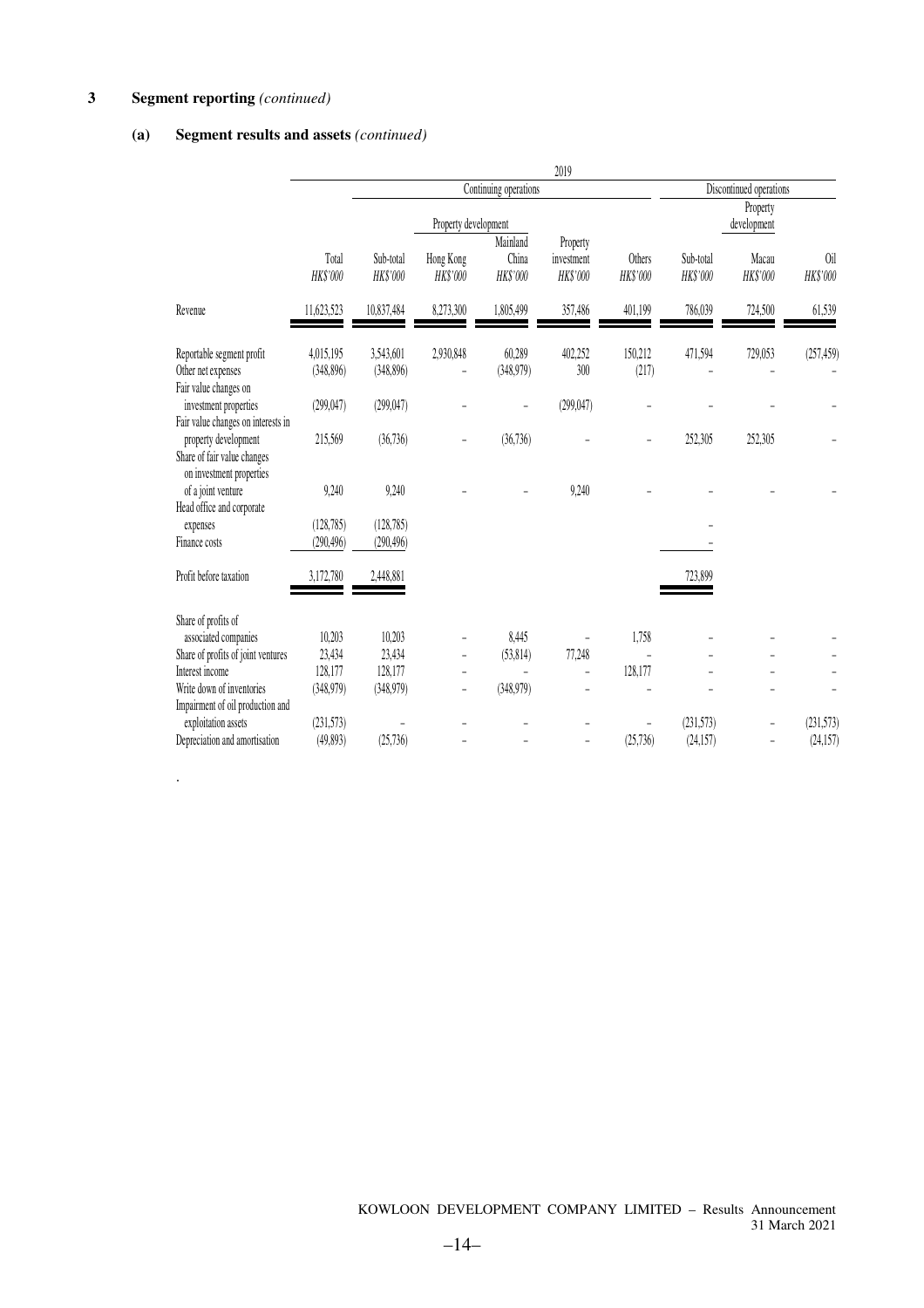.

### **(a) Segment results and assets** *(continued)*

|                                                                                 |                          |                          |                       |                               | 2019                               |                           |                       |                         |                 |
|---------------------------------------------------------------------------------|--------------------------|--------------------------|-----------------------|-------------------------------|------------------------------------|---------------------------|-----------------------|-------------------------|-----------------|
|                                                                                 | Continuing operations    |                          |                       |                               |                                    |                           |                       | Discontinued operations |                 |
|                                                                                 |                          |                          | Property development  |                               |                                    |                           |                       | Property<br>development |                 |
|                                                                                 | Total<br>HK\$'000        | Sub-total<br>HK\$'000    | Hong Kong<br>HK\$'000 | Mainland<br>China<br>HK\$'000 | Property<br>investment<br>HK\$'000 | <b>Others</b><br>HK\$'000 | Sub-total<br>HK\$'000 | Macau<br>HK\$'000       | 0il<br>HK\$'000 |
| Revenue                                                                         | 11,623,523               | 10,837,484               | 8,273,300             | 1,805,499                     | 357,486                            | 401,199                   | 786,039               | 724,500                 | 61,539          |
| Reportable segment profit<br>Other net expenses<br>Fair value changes on        | 4,015,195<br>(348, 896)  | 3,543,601<br>(348, 896)  | 2,930,848             | 60,289<br>(348,979)           | 402,252<br>300                     | 150,212<br>(217)          | 471,594               | 729,053                 | (257, 459)      |
| investment properties<br>Fair value changes on interests in                     | (299, 047)               | (299, 047)               |                       | L,                            | (299, 047)                         |                           |                       |                         |                 |
| property development<br>Share of fair value changes<br>on investment properties | 215,569                  | (36, 736)                |                       | (36, 736)                     |                                    |                           | 252,305               | 252,305                 |                 |
| of a joint venture<br>Head office and corporate                                 | 9,240                    | 9,240                    |                       |                               | 9,240                              |                           |                       |                         |                 |
| expenses<br>Finance costs                                                       | (128, 785)<br>(290, 496) | (128, 785)<br>(290, 496) |                       |                               |                                    |                           |                       |                         |                 |
| Profit before taxation                                                          | 3,172,780                | 2,448,881                |                       |                               |                                    |                           | 723,899               |                         |                 |
| Share of profits of                                                             |                          |                          |                       |                               |                                    |                           |                       |                         |                 |
| associated companies                                                            | 10,203                   | 10,203                   |                       | 8,445                         |                                    | 1,758                     |                       |                         |                 |
| Share of profits of joint ventures                                              | 23,434                   | 23,434                   |                       | (53, 814)                     | 77,248                             |                           |                       |                         |                 |
| Interest income                                                                 | 128,177                  | 128,177                  |                       |                               |                                    | 128,177                   |                       |                         |                 |
| Write down of inventories<br>Impairment of oil production and                   | (348,979)                | (348,979)                |                       | (348,979)                     |                                    |                           |                       |                         |                 |
| exploitation assets                                                             | (231, 573)               |                          |                       |                               |                                    |                           | (231,573)             |                         | (231, 573)      |
| Depreciation and amortisation                                                   | (49, 893)                | (25, 736)                |                       |                               | $\overline{a}$                     | (25, 736)                 | (24, 157)             |                         | (24, 157)       |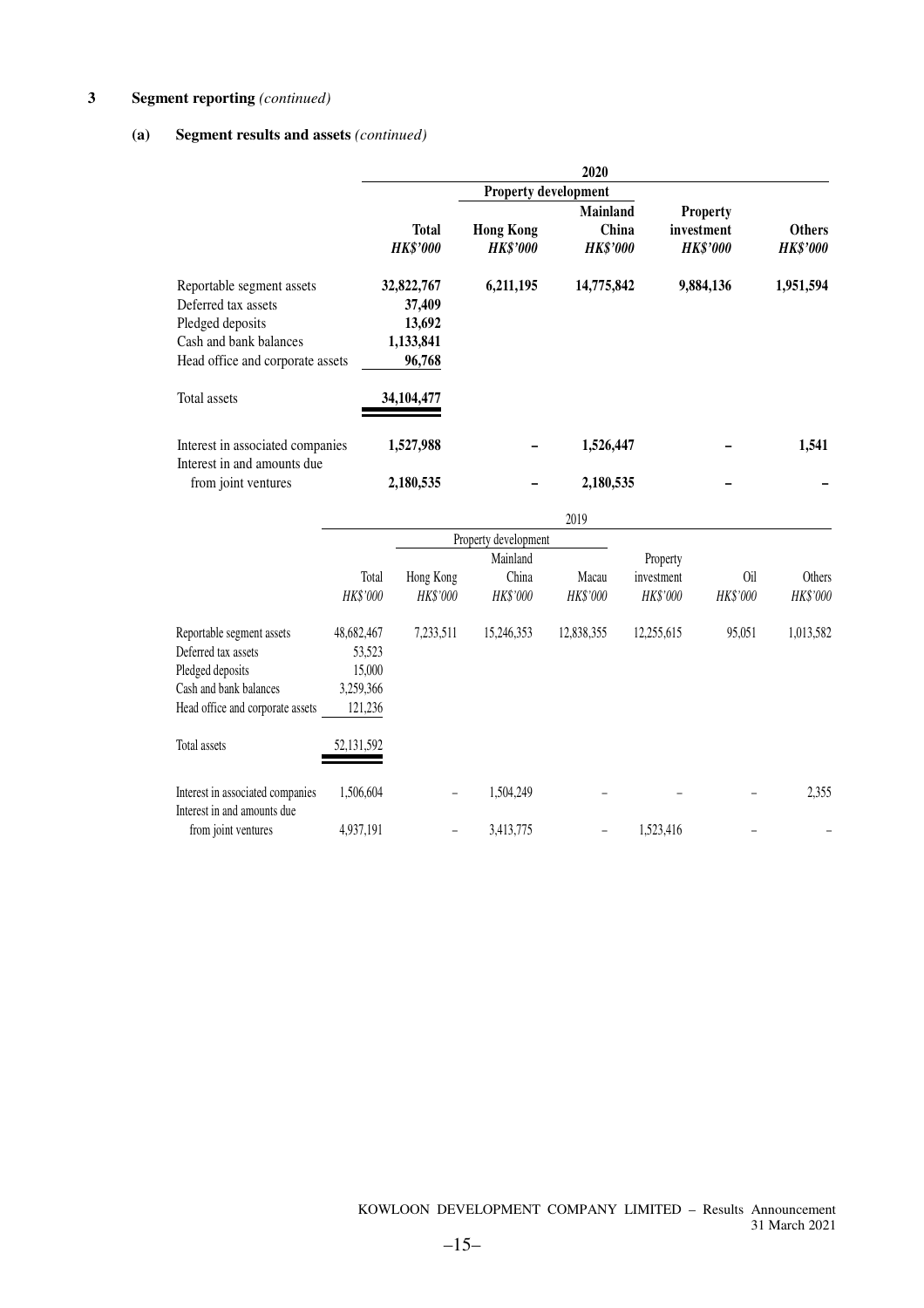### **(a) Segment results and assets** *(continued)*

|                                                                                                                                                           | 2020                                                                |                                     |                                             |                                                  |                                  |  |  |  |  |  |
|-----------------------------------------------------------------------------------------------------------------------------------------------------------|---------------------------------------------------------------------|-------------------------------------|---------------------------------------------|--------------------------------------------------|----------------------------------|--|--|--|--|--|
|                                                                                                                                                           |                                                                     | <b>Property development</b>         |                                             |                                                  |                                  |  |  |  |  |  |
|                                                                                                                                                           | <b>Total</b><br><b>HK\$'000</b>                                     | <b>Hong Kong</b><br><b>HK\$'000</b> | <b>Mainland</b><br>China<br><b>HK\$'000</b> | <b>Property</b><br>investment<br><b>HK\$'000</b> | <b>Others</b><br><b>HK\$'000</b> |  |  |  |  |  |
| Reportable segment assets<br>Deferred tax assets<br>Pledged deposits<br>Cash and bank balances<br>Head office and corporate assets<br><b>Total assets</b> | 32,822,767<br>37,409<br>13,692<br>1,133,841<br>96,768<br>34,104,477 | 6,211,195                           | 14,775,842                                  | 9,884,136                                        | 1,951,594                        |  |  |  |  |  |
| Interest in associated companies<br>Interest in and amounts due<br>from joint ventures                                                                    | 1,527,988<br>2,180,535                                              |                                     | 1,526,447<br>2,180,535                      |                                                  | 1,541                            |  |  |  |  |  |

|                                                                                                                                                    |                                                                      |                              |                               | 2019              |                                    |                 |                    |
|----------------------------------------------------------------------------------------------------------------------------------------------------|----------------------------------------------------------------------|------------------------------|-------------------------------|-------------------|------------------------------------|-----------------|--------------------|
|                                                                                                                                                    |                                                                      |                              | Property development          |                   |                                    |                 |                    |
|                                                                                                                                                    | Total<br>HK\$'000                                                    | Hong Kong<br><b>HK\$'000</b> | Mainland<br>China<br>HK\$'000 | Macau<br>HK\$'000 | Property<br>investment<br>HK\$'000 | 0il<br>HK\$'000 | Others<br>HK\$'000 |
| Reportable segment assets<br>Deferred tax assets<br>Pledged deposits<br>Cash and bank balances<br>Head office and corporate assets<br>Total assets | 48,682,467<br>53,523<br>15,000<br>3,259,366<br>121,236<br>52,131,592 | 7,233,511                    | 15,246,353                    | 12,838,355        | 12,255,615                         | 95,051          | 1,013,582          |
| Interest in associated companies<br>Interest in and amounts due<br>from joint ventures                                                             | 1,506,604<br>4,937,191                                               |                              | 1,504,249<br>3,413,775        |                   | 1,523,416                          |                 | 2,355              |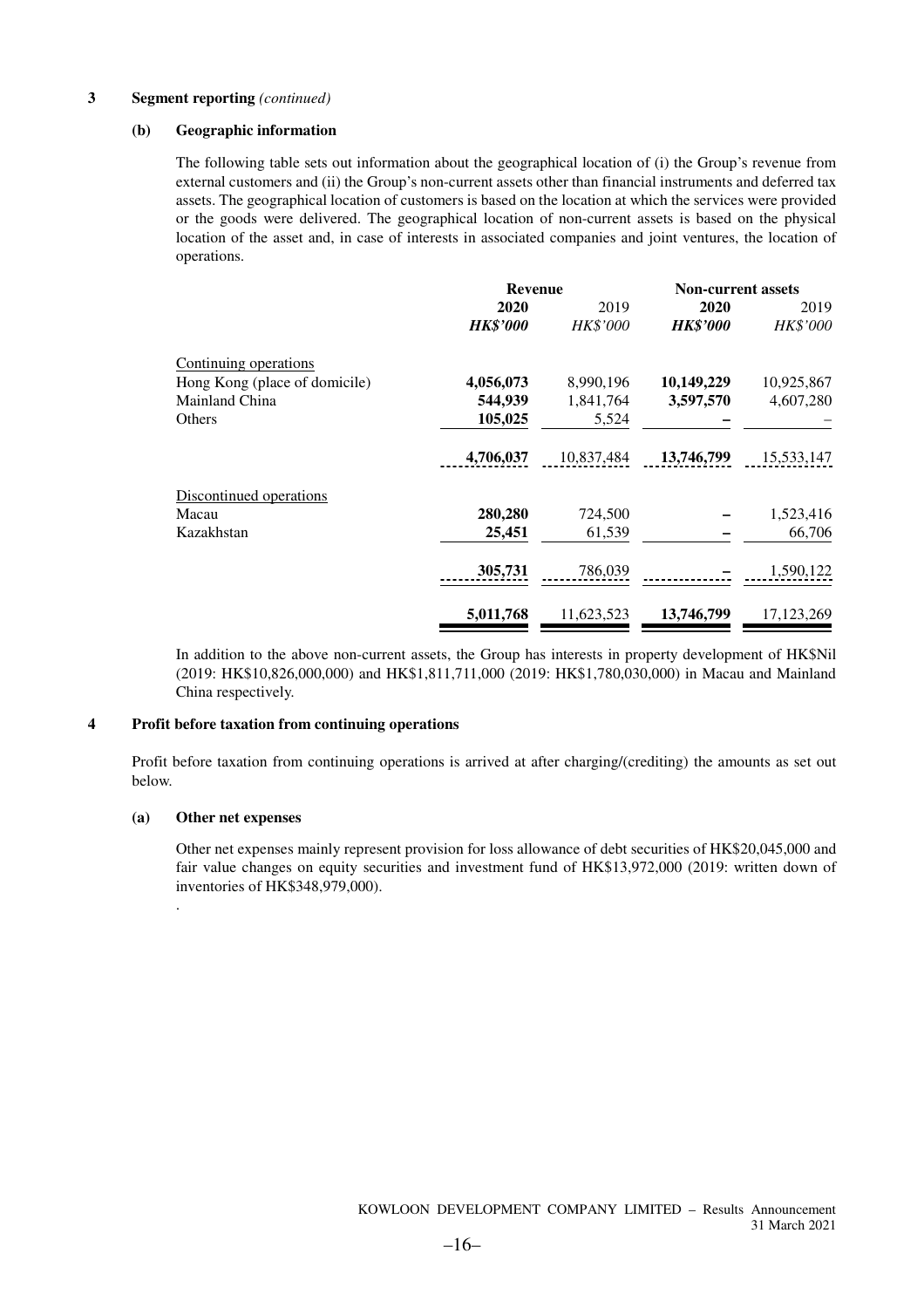#### **(b) Geographic information**

The following table sets out information about the geographical location of (i) the Group's revenue from external customers and (ii) the Group's non-current assets other than financial instruments and deferred tax assets. The geographical location of customers is based on the location at which the services were provided or the goods were delivered. The geographical location of non-current assets is based on the physical location of the asset and, in case of interests in associated companies and joint ventures, the location of operations.

|                               | <b>Revenue</b>  |                 | <b>Non-current assets</b> |              |
|-------------------------------|-----------------|-----------------|---------------------------|--------------|
|                               | 2020            | 2019            | 2020                      | 2019         |
|                               | <b>HK\$'000</b> | <b>HK\$'000</b> | <b>HK\$'000</b>           | HK\$'000     |
| Continuing operations         |                 |                 |                           |              |
| Hong Kong (place of domicile) | 4,056,073       | 8,990,196       | 10,149,229                | 10,925,867   |
| Mainland China                | 544,939         | 1,841,764       | 3,597,570                 | 4,607,280    |
| Others                        | 105,025         | 5,524           |                           |              |
|                               | 4,706,037       | 10,837,484      | 13,746,799                | 15,533,147   |
| Discontinued operations       |                 |                 |                           |              |
| Macau                         | 280,280         | 724,500         |                           | 1,523,416    |
| Kazakhstan                    | 25,451          | 61,539          |                           | 66,706       |
|                               | 305,731         | 786,039         |                           | 1,590,122    |
|                               | 5,011,768       | 11,623,523      | 13,746,799                | 17, 123, 269 |

In addition to the above non-current assets, the Group has interests in property development of HK\$Nil (2019: HK\$10,826,000,000) and HK\$1,811,711,000 (2019: HK\$1,780,030,000) in Macau and Mainland China respectively.

#### **4 Profit before taxation from continuing operations**

Profit before taxation from continuing operations is arrived at after charging/(crediting) the amounts as set out below.

#### **(a) Other net expenses**

.

Other net expenses mainly represent provision for loss allowance of debt securities of HK\$20,045,000 and fair value changes on equity securities and investment fund of HK\$13,972,000 (2019: written down of inventories of HK\$348,979,000).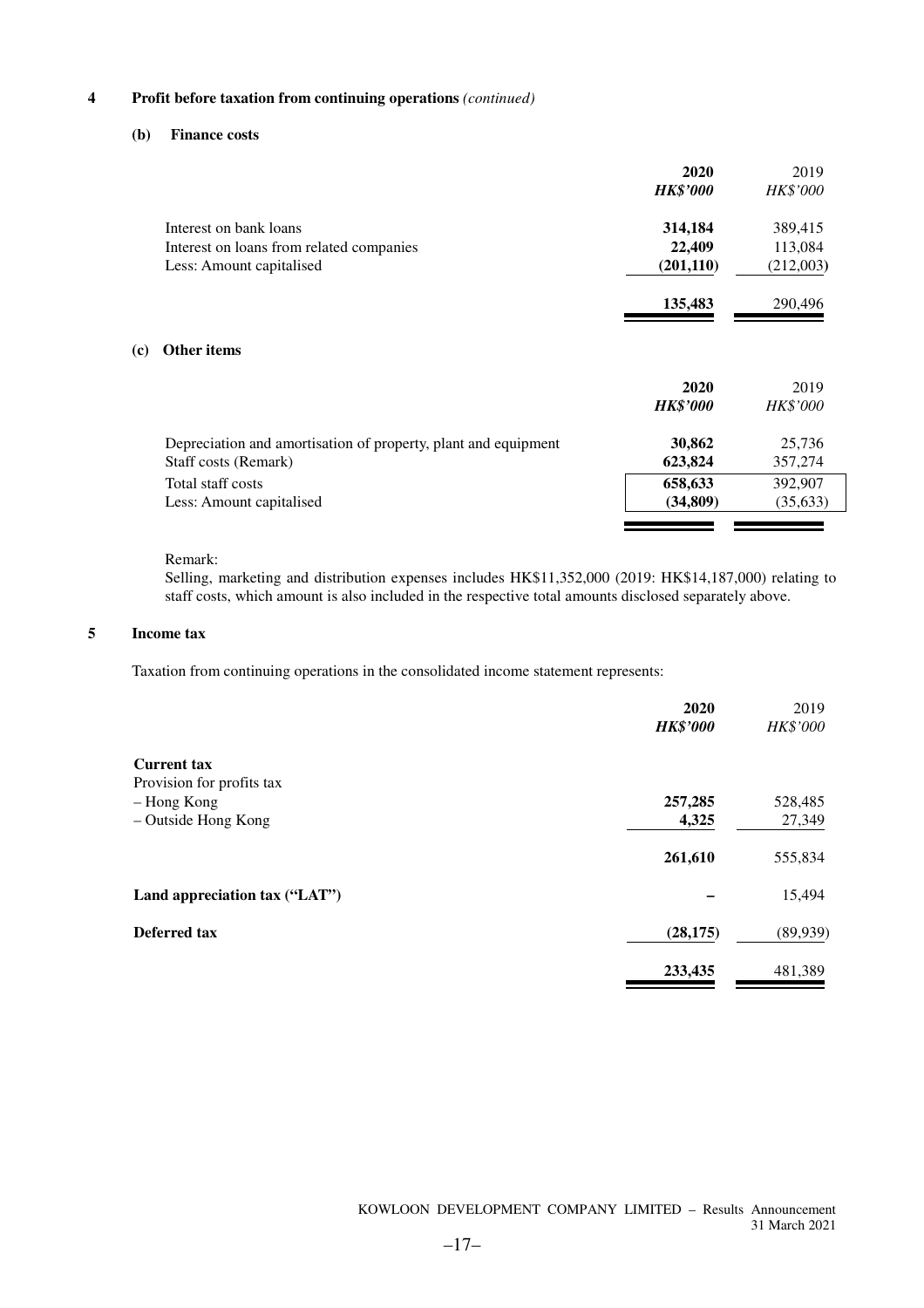#### **4 Profit before taxation from continuing operations** *(continued)*

#### **(b) Finance costs**

|     |                                                                | 2020<br><b>HK\$'000</b> | 2019<br><b>HK\$'000</b> |
|-----|----------------------------------------------------------------|-------------------------|-------------------------|
|     | Interest on bank loans                                         | 314,184                 | 389,415                 |
|     | Interest on loans from related companies                       | 22,409                  | 113,084                 |
|     | Less: Amount capitalised                                       | (201, 110)              | (212,003)               |
|     |                                                                | 135,483                 | 290,496                 |
| (c) | <b>Other items</b>                                             |                         |                         |
|     |                                                                | 2020                    | 2019                    |
|     |                                                                | <b>HK\$'000</b>         | <b>HK\$'000</b>         |
|     | Depreciation and amortisation of property, plant and equipment | 30,862                  | 25,736                  |
|     | Staff costs (Remark)                                           | 623,824                 | 357,274                 |
|     | Total staff costs                                              | 658,633                 | 392,907                 |
|     | Less: Amount capitalised                                       | (34, 809)               | (35, 633)               |
|     |                                                                |                         |                         |

#### Remark:

Selling, marketing and distribution expenses includes HK\$11,352,000 (2019: HK\$14,187,000) relating to staff costs, which amount is also included in the respective total amounts disclosed separately above.

#### **5 Income tax**

Taxation from continuing operations in the consolidated income statement represents:

|                               | 2020<br><b>HK\$'000</b> | 2019<br>HK\$'000 |
|-------------------------------|-------------------------|------------------|
| <b>Current tax</b>            |                         |                  |
| Provision for profits tax     |                         |                  |
| - Hong Kong                   | 257,285                 | 528,485          |
| - Outside Hong Kong           | 4,325                   | 27,349           |
|                               | 261,610                 | 555,834          |
| Land appreciation tax ("LAT") |                         | 15,494           |
| Deferred tax                  | (28, 175)               | (89, 939)        |
|                               | 233,435                 | 481,389          |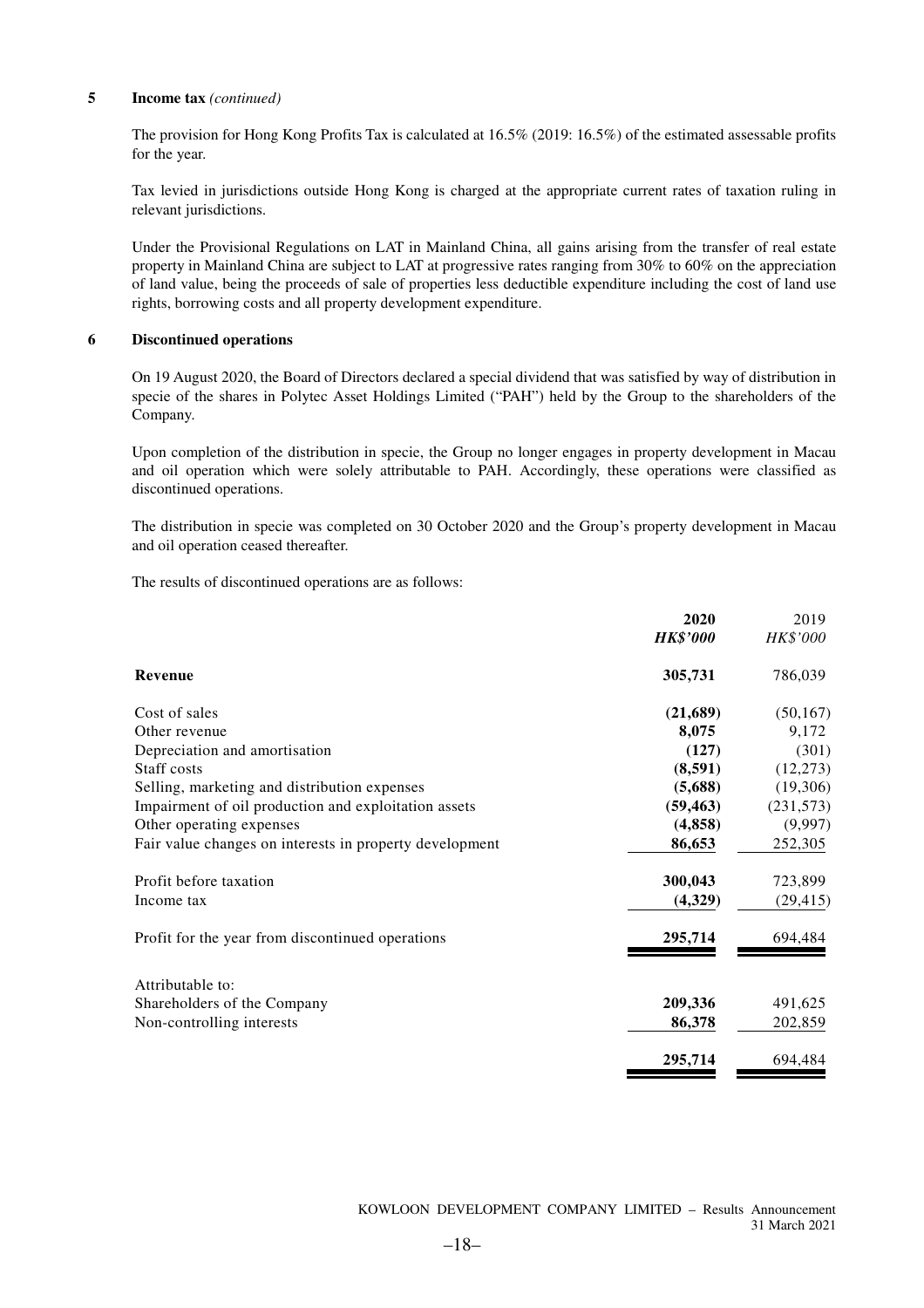#### **5 Income tax** *(continued)*

The provision for Hong Kong Profits Tax is calculated at 16.5% (2019: 16.5%) of the estimated assessable profits for the year.

Tax levied in jurisdictions outside Hong Kong is charged at the appropriate current rates of taxation ruling in relevant jurisdictions.

Under the Provisional Regulations on LAT in Mainland China, all gains arising from the transfer of real estate property in Mainland China are subject to LAT at progressive rates ranging from 30% to 60% on the appreciation of land value, being the proceeds of sale of properties less deductible expenditure including the cost of land use rights, borrowing costs and all property development expenditure.

#### **6 Discontinued operations**

On 19 August 2020, the Board of Directors declared a special dividend that was satisfied by way of distribution in specie of the shares in Polytec Asset Holdings Limited ("PAH") held by the Group to the shareholders of the Company.

Upon completion of the distribution in specie, the Group no longer engages in property development in Macau and oil operation which were solely attributable to PAH. Accordingly, these operations were classified as discontinued operations.

The distribution in specie was completed on 30 October 2020 and the Group's property development in Macau and oil operation ceased thereafter.

The results of discontinued operations are as follows:

|                                                         | 2020            | 2019            |
|---------------------------------------------------------|-----------------|-----------------|
|                                                         | <b>HK\$'000</b> | <b>HK\$'000</b> |
| Revenue                                                 | 305,731         | 786,039         |
| Cost of sales                                           | (21,689)        | (50, 167)       |
| Other revenue                                           | 8,075           | 9,172           |
| Depreciation and amortisation                           | (127)           | (301)           |
| Staff costs                                             | (8,591)         | (12,273)        |
| Selling, marketing and distribution expenses            | (5,688)         | (19,306)        |
| Impairment of oil production and exploitation assets    | (59, 463)       | (231,573)       |
| Other operating expenses                                | (4, 858)        | (9,997)         |
| Fair value changes on interests in property development | 86,653          | 252,305         |
| Profit before taxation                                  | 300,043         | 723,899         |
| Income tax                                              | (4,329)         | (29, 415)       |
| Profit for the year from discontinued operations        | 295,714         | 694,484         |
| Attributable to:                                        |                 |                 |
| Shareholders of the Company                             | 209,336         | 491,625         |
| Non-controlling interests                               | 86,378          | 202,859         |
|                                                         | 295,714         | 694,484         |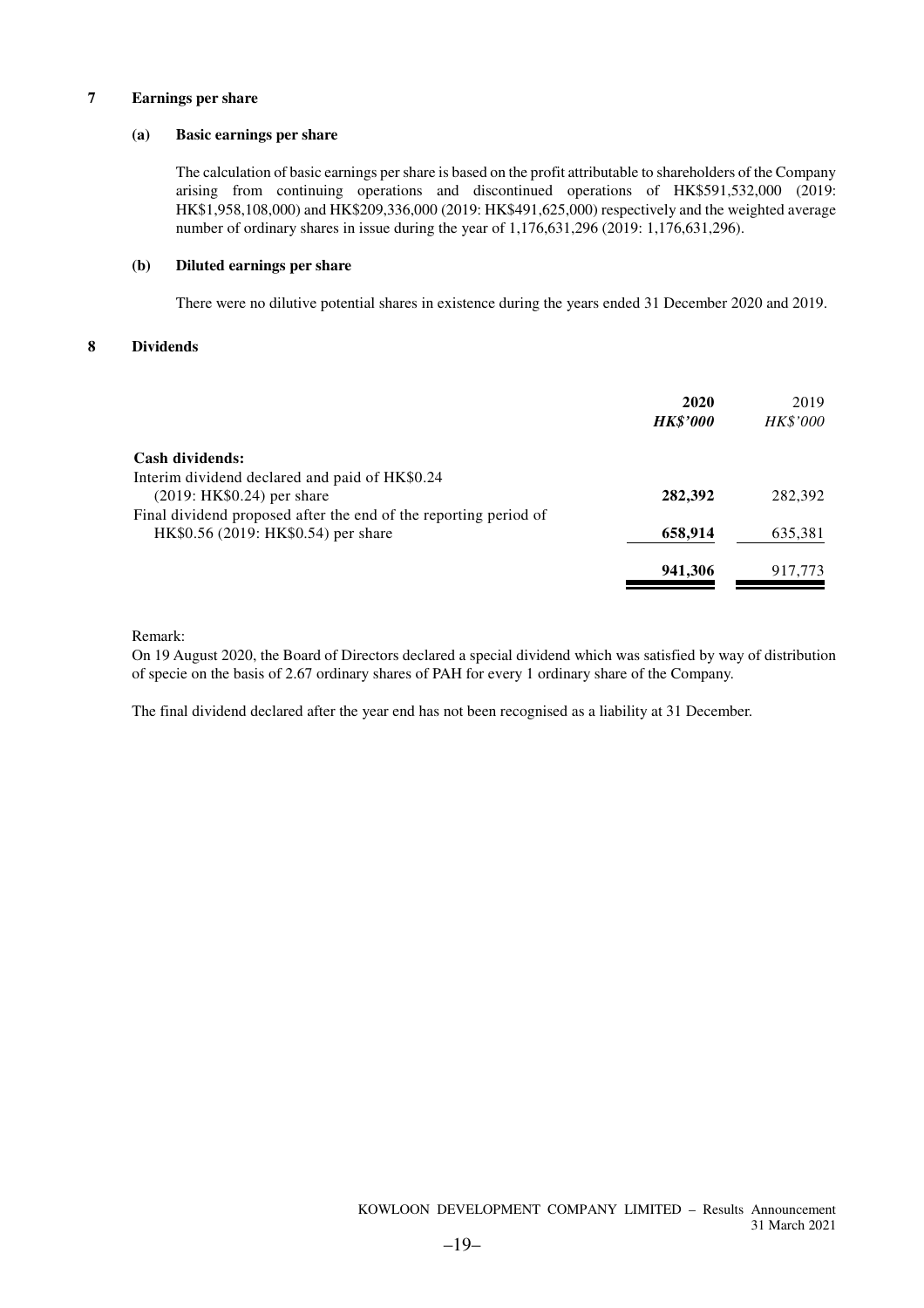#### **7 Earnings per share**

#### **(a) Basic earnings per share**

The calculation of basic earnings per share is based on the profit attributable to shareholders of the Company arising from continuing operations and discontinued operations of HK\$591,532,000 (2019: HK\$1,958,108,000) and HK\$209,336,000 (2019: HK\$491,625,000) respectively and the weighted average number of ordinary shares in issue during the year of 1,176,631,296 (2019: 1,176,631,296).

#### **(b) Diluted earnings per share**

There were no dilutive potential shares in existence during the years ended 31 December 2020 and 2019.

#### **8 Dividends**

| 2020<br><b>HK\$'000</b> | 2019<br><i>HK\$'000</i> |
|-------------------------|-------------------------|
|                         |                         |
|                         |                         |
| 282,392                 | 282,392                 |
|                         |                         |
| 658,914                 | 635,381                 |
| 941,306                 | 917,773                 |
|                         |                         |

Remark:

On 19 August 2020, the Board of Directors declared a special dividend which was satisfied by way of distribution of specie on the basis of 2.67 ordinary shares of PAH for every 1 ordinary share of the Company.

The final dividend declared after the year end has not been recognised as a liability at 31 December.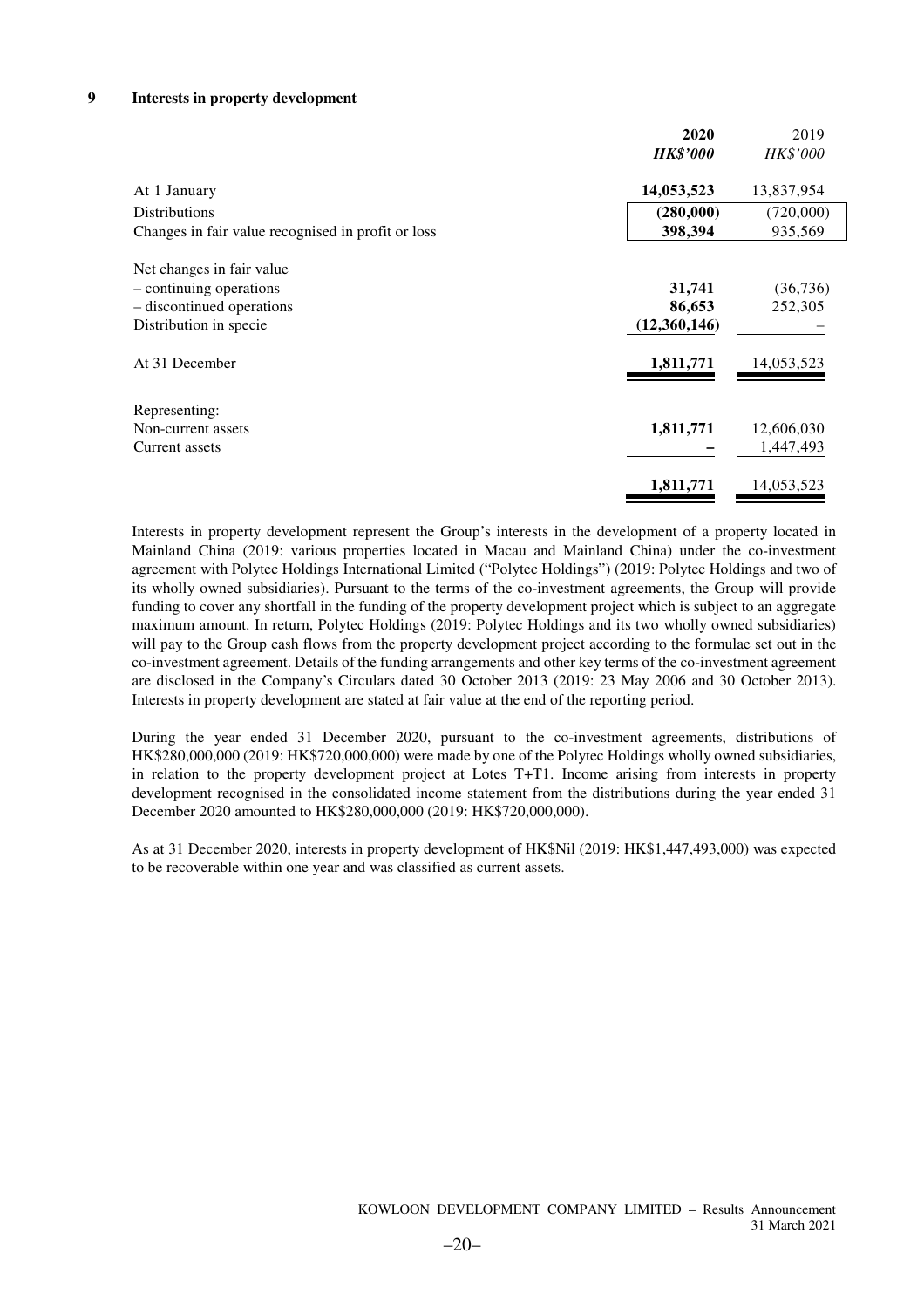#### **9 Interests in property development**

|                                                    | 2020            | 2019       |
|----------------------------------------------------|-----------------|------------|
|                                                    | <b>HK\$'000</b> | HK\$'000   |
| At 1 January                                       | 14,053,523      | 13,837,954 |
| <b>Distributions</b>                               | (280,000)       | (720,000)  |
| Changes in fair value recognised in profit or loss | 398,394         | 935,569    |
| Net changes in fair value                          |                 |            |
| - continuing operations                            | 31,741          | (36, 736)  |
| - discontinued operations                          | 86,653          | 252,305    |
| Distribution in specie                             | (12,360,146)    |            |
| At 31 December                                     | 1,811,771       | 14,053,523 |
| Representing:                                      |                 |            |
| Non-current assets                                 | 1,811,771       | 12,606,030 |
| Current assets                                     |                 | 1,447,493  |
|                                                    | 1,811,771       | 14,053,523 |

Interests in property development represent the Group's interests in the development of a property located in Mainland China (2019: various properties located in Macau and Mainland China) under the co-investment agreement with Polytec Holdings International Limited ("Polytec Holdings") (2019: Polytec Holdings and two of its wholly owned subsidiaries). Pursuant to the terms of the co-investment agreements, the Group will provide funding to cover any shortfall in the funding of the property development project which is subject to an aggregate maximum amount. In return, Polytec Holdings (2019: Polytec Holdings and its two wholly owned subsidiaries) will pay to the Group cash flows from the property development project according to the formulae set out in the co-investment agreement. Details of the funding arrangements and other key terms of the co-investment agreement are disclosed in the Company's Circulars dated 30 October 2013 (2019: 23 May 2006 and 30 October 2013). Interests in property development are stated at fair value at the end of the reporting period.

During the year ended 31 December 2020, pursuant to the co-investment agreements, distributions of HK\$280,000,000 (2019: HK\$720,000,000) were made by one of the Polytec Holdings wholly owned subsidiaries, in relation to the property development project at Lotes T+T1. Income arising from interests in property development recognised in the consolidated income statement from the distributions during the year ended 31 December 2020 amounted to HK\$280,000,000 (2019: HK\$720,000,000).

As at 31 December 2020, interests in property development of HK\$Nil (2019: HK\$1,447,493,000) was expected to be recoverable within one year and was classified as current assets.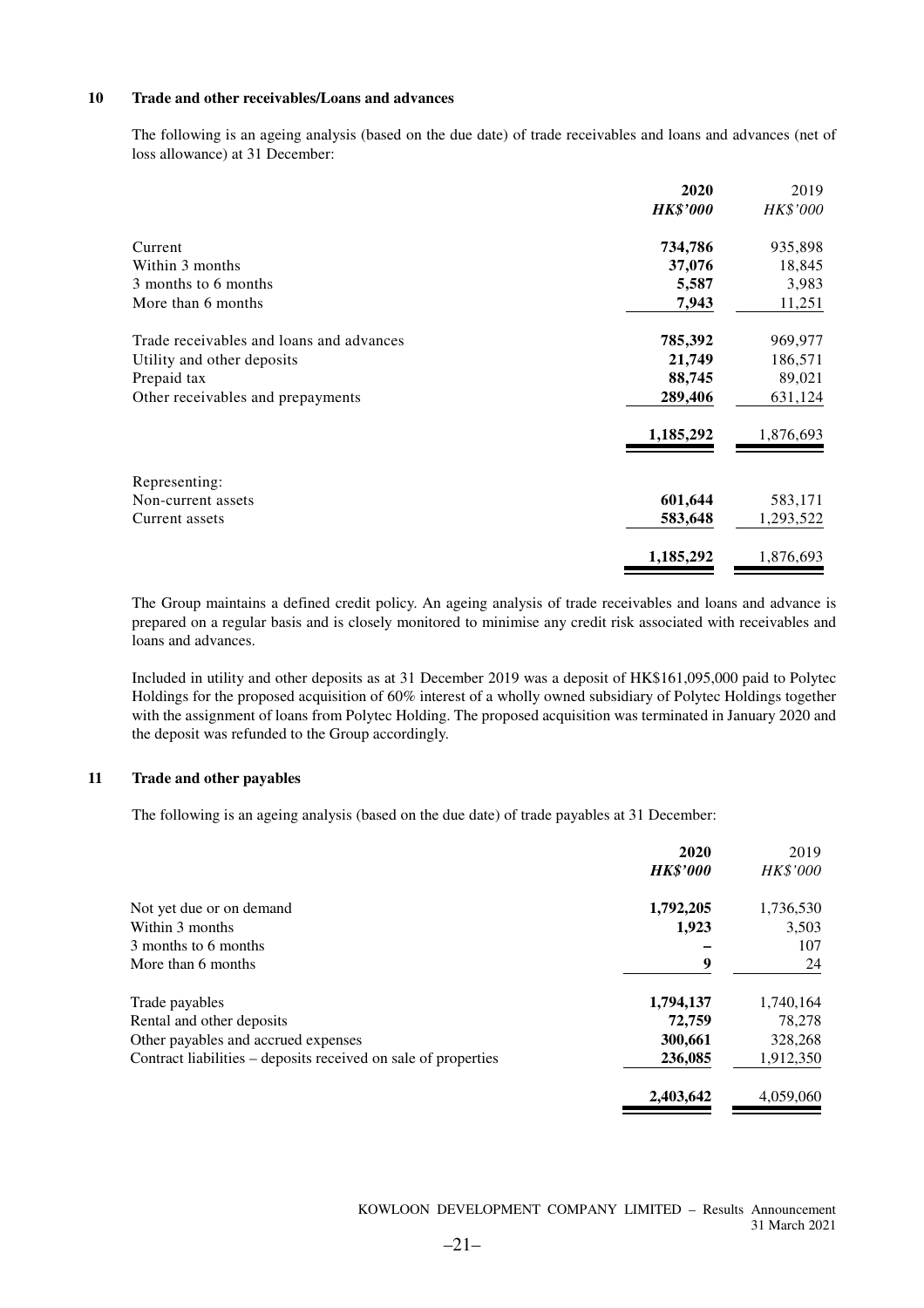#### **10 Trade and other receivables/Loans and advances**

The following is an ageing analysis (based on the due date) of trade receivables and loans and advances (net of loss allowance) at 31 December:

|                                          | 2020            | 2019            |
|------------------------------------------|-----------------|-----------------|
|                                          | <b>HK\$'000</b> | <i>HK\$'000</i> |
| Current                                  | 734,786         | 935,898         |
| Within 3 months                          | 37,076          | 18,845          |
| 3 months to 6 months                     | 5,587           | 3,983           |
| More than 6 months                       | 7,943           | 11,251          |
| Trade receivables and loans and advances | 785,392         | 969,977         |
| Utility and other deposits               | 21,749          | 186,571         |
| Prepaid tax                              | 88,745          | 89,021          |
| Other receivables and prepayments        | 289,406         | 631,124         |
|                                          | 1,185,292       | 1,876,693       |
| Representing:                            |                 |                 |
| Non-current assets                       | 601,644         | 583,171         |
| Current assets                           | 583,648         | 1,293,522       |
|                                          | 1,185,292       | 1,876,693       |

The Group maintains a defined credit policy. An ageing analysis of trade receivables and loans and advance is prepared on a regular basis and is closely monitored to minimise any credit risk associated with receivables and loans and advances.

Included in utility and other deposits as at 31 December 2019 was a deposit of HK\$161,095,000 paid to Polytec Holdings for the proposed acquisition of 60% interest of a wholly owned subsidiary of Polytec Holdings together with the assignment of loans from Polytec Holding. The proposed acquisition was terminated in January 2020 and the deposit was refunded to the Group accordingly.

#### **11 Trade and other payables**

The following is an ageing analysis (based on the due date) of trade payables at 31 December:

|                                                                | 2020            | 2019            |
|----------------------------------------------------------------|-----------------|-----------------|
|                                                                | <b>HK\$'000</b> | <b>HK\$'000</b> |
| Not yet due or on demand                                       | 1,792,205       | 1,736,530       |
| Within 3 months                                                | 1,923           | 3,503           |
| 3 months to 6 months                                           |                 | 107             |
| More than 6 months                                             | 9               | 24              |
| Trade payables                                                 | 1,794,137       | 1,740,164       |
| Rental and other deposits                                      | 72,759          | 78,278          |
| Other payables and accrued expenses                            | 300,661         | 328,268         |
| Contract liabilities – deposits received on sale of properties | 236,085         | 1,912,350       |
|                                                                | 2,403,642       | 4,059,060       |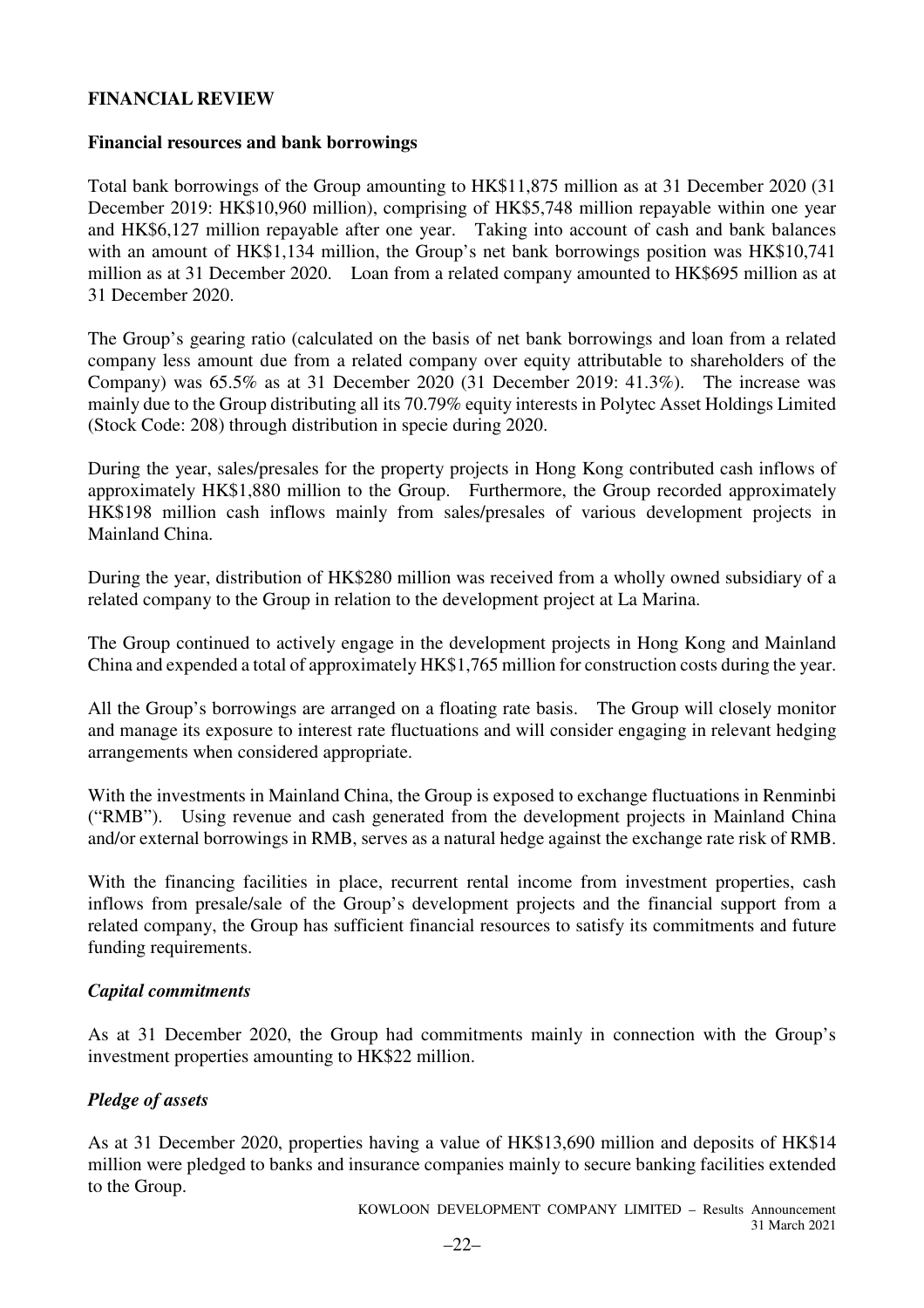### **FINANCIAL REVIEW**

### **Financial resources and bank borrowings**

Total bank borrowings of the Group amounting to HK\$11,875 million as at 31 December 2020 (31 December 2019: HK\$10,960 million), comprising of HK\$5,748 million repayable within one year and HK\$6,127 million repayable after one year. Taking into account of cash and bank balances with an amount of HK\$1,134 million, the Group's net bank borrowings position was HK\$10,741 million as at 31 December 2020. Loan from a related company amounted to HK\$695 million as at 31 December 2020.

The Group's gearing ratio (calculated on the basis of net bank borrowings and loan from a related company less amount due from a related company over equity attributable to shareholders of the Company) was 65.5% as at 31 December 2020 (31 December 2019: 41.3%). The increase was mainly due to the Group distributing all its 70.79% equity interests in Polytec Asset Holdings Limited (Stock Code: 208) through distribution in specie during 2020.

During the year, sales/presales for the property projects in Hong Kong contributed cash inflows of approximately HK\$1,880 million to the Group. Furthermore, the Group recorded approximately HK\$198 million cash inflows mainly from sales/presales of various development projects in Mainland China.

During the year, distribution of HK\$280 million was received from a wholly owned subsidiary of a related company to the Group in relation to the development project at La Marina.

The Group continued to actively engage in the development projects in Hong Kong and Mainland China and expended a total of approximately HK\$1,765 million for construction costs during the year.

All the Group's borrowings are arranged on a floating rate basis. The Group will closely monitor and manage its exposure to interest rate fluctuations and will consider engaging in relevant hedging arrangements when considered appropriate.

With the investments in Mainland China, the Group is exposed to exchange fluctuations in Renminbi ("RMB"). Using revenue and cash generated from the development projects in Mainland China and/or external borrowings in RMB, serves as a natural hedge against the exchange rate risk of RMB.

With the financing facilities in place, recurrent rental income from investment properties, cash inflows from presale/sale of the Group's development projects and the financial support from a related company, the Group has sufficient financial resources to satisfy its commitments and future funding requirements.

### *Capital commitments*

As at 31 December 2020, the Group had commitments mainly in connection with the Group's investment properties amounting to HK\$22 million.

### *Pledge of assets*

As at 31 December 2020, properties having a value of HK\$13,690 million and deposits of HK\$14 million were pledged to banks and insurance companies mainly to secure banking facilities extended to the Group.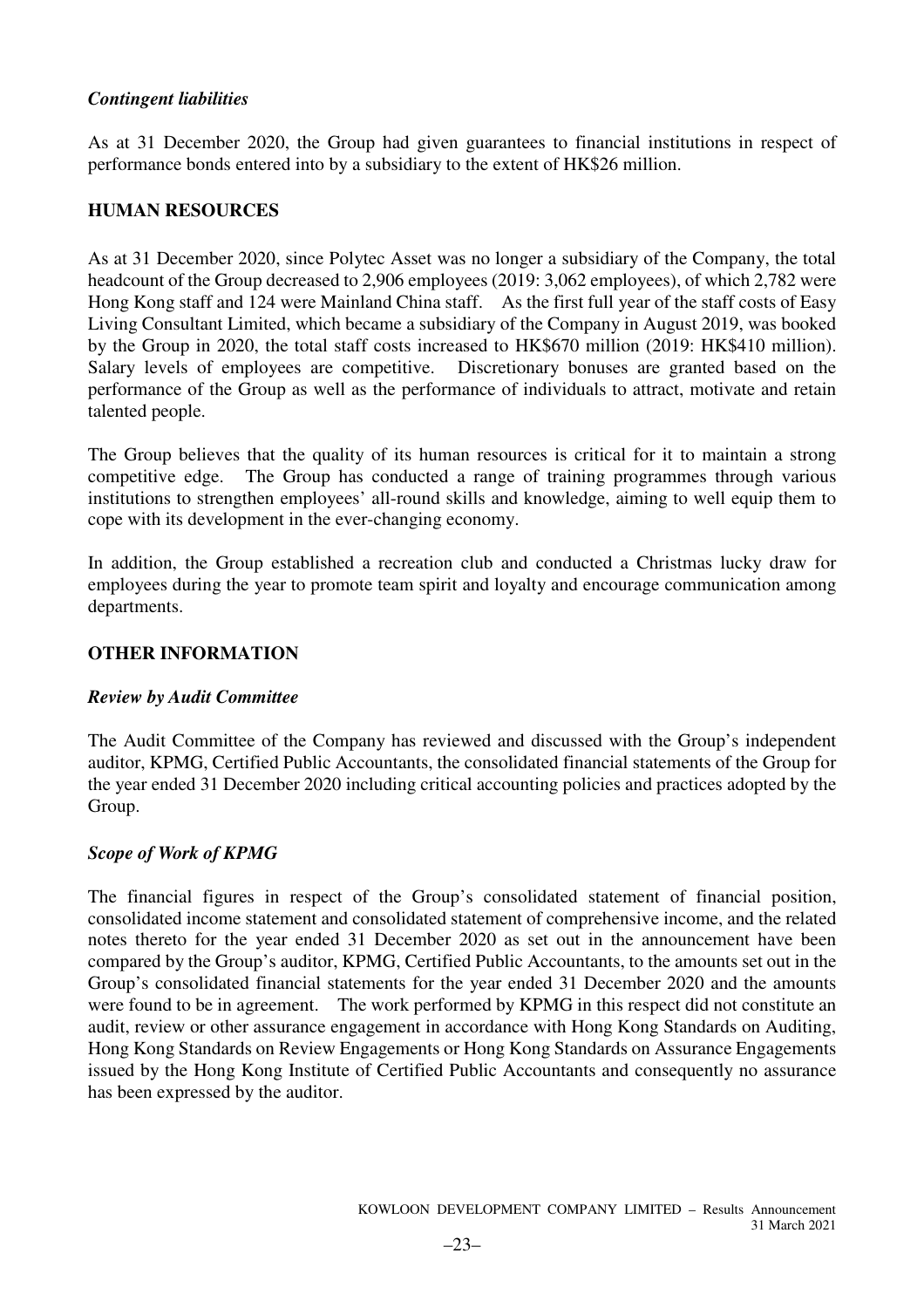### *Contingent liabilities*

As at 31 December 2020, the Group had given guarantees to financial institutions in respect of performance bonds entered into by a subsidiary to the extent of HK\$26 million.

### **HUMAN RESOURCES**

As at 31 December 2020, since Polytec Asset was no longer a subsidiary of the Company, the total headcount of the Group decreased to 2,906 employees (2019: 3,062 employees), of which 2,782 were Hong Kong staff and 124 were Mainland China staff. As the first full year of the staff costs of Easy Living Consultant Limited, which became a subsidiary of the Company in August 2019, was booked by the Group in 2020, the total staff costs increased to HK\$670 million (2019: HK\$410 million). Salary levels of employees are competitive. Discretionary bonuses are granted based on the performance of the Group as well as the performance of individuals to attract, motivate and retain talented people.

The Group believes that the quality of its human resources is critical for it to maintain a strong competitive edge. The Group has conducted a range of training programmes through various institutions to strengthen employees' all-round skills and knowledge, aiming to well equip them to cope with its development in the ever-changing economy.

In addition, the Group established a recreation club and conducted a Christmas lucky draw for employees during the year to promote team spirit and loyalty and encourage communication among departments.

### **OTHER INFORMATION**

### *Review by Audit Committee*

The Audit Committee of the Company has reviewed and discussed with the Group's independent auditor, KPMG, Certified Public Accountants, the consolidated financial statements of the Group for the year ended 31 December 2020 including critical accounting policies and practices adopted by the Group.

### *Scope of Work of KPMG*

The financial figures in respect of the Group's consolidated statement of financial position, consolidated income statement and consolidated statement of comprehensive income, and the related notes thereto for the year ended 31 December 2020 as set out in the announcement have been compared by the Group's auditor, KPMG, Certified Public Accountants, to the amounts set out in the Group's consolidated financial statements for the year ended 31 December 2020 and the amounts were found to be in agreement. The work performed by KPMG in this respect did not constitute an audit, review or other assurance engagement in accordance with Hong Kong Standards on Auditing, Hong Kong Standards on Review Engagements or Hong Kong Standards on Assurance Engagements issued by the Hong Kong Institute of Certified Public Accountants and consequently no assurance has been expressed by the auditor.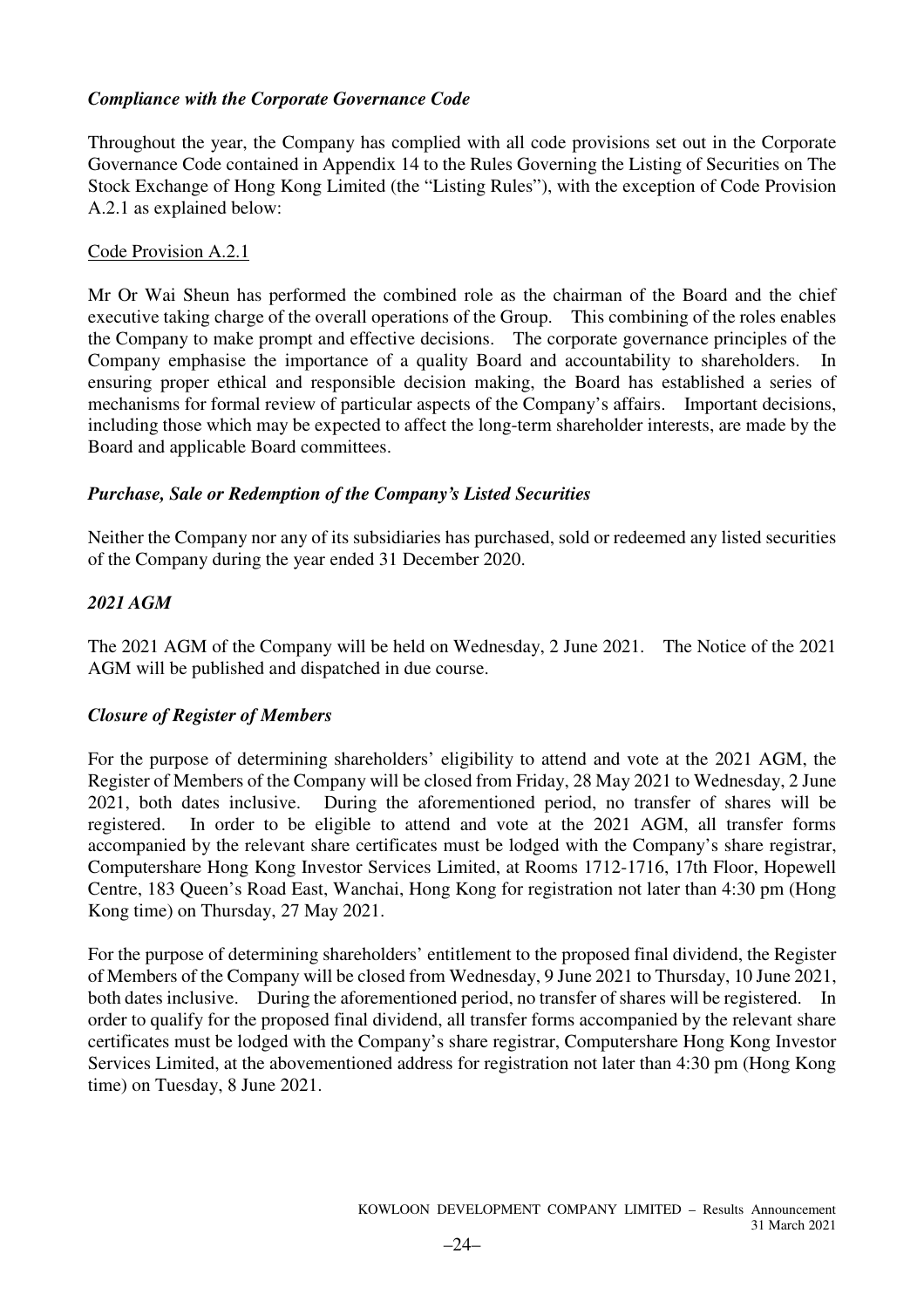### *Compliance with the Corporate Governance Code*

Throughout the year, the Company has complied with all code provisions set out in the Corporate Governance Code contained in Appendix 14 to the Rules Governing the Listing of Securities on The Stock Exchange of Hong Kong Limited (the "Listing Rules"), with the exception of Code Provision A.2.1 as explained below:

### Code Provision A.2.1

Mr Or Wai Sheun has performed the combined role as the chairman of the Board and the chief executive taking charge of the overall operations of the Group. This combining of the roles enables the Company to make prompt and effective decisions. The corporate governance principles of the Company emphasise the importance of a quality Board and accountability to shareholders. In ensuring proper ethical and responsible decision making, the Board has established a series of mechanisms for formal review of particular aspects of the Company's affairs. Important decisions, including those which may be expected to affect the long-term shareholder interests, are made by the Board and applicable Board committees.

### *Purchase, Sale or Redemption of the Company's Listed Securities*

Neither the Company nor any of its subsidiaries has purchased, sold or redeemed any listed securities of the Company during the year ended 31 December 2020.

### *2021 AGM*

The 2021 AGM of the Company will be held on Wednesday, 2 June 2021. The Notice of the 2021 AGM will be published and dispatched in due course.

### *Closure of Register of Members*

For the purpose of determining shareholders' eligibility to attend and vote at the 2021 AGM, the Register of Members of the Company will be closed from Friday, 28 May 2021 to Wednesday, 2 June 2021, both dates inclusive. During the aforementioned period, no transfer of shares will be registered. In order to be eligible to attend and vote at the 2021 AGM, all transfer forms accompanied by the relevant share certificates must be lodged with the Company's share registrar, Computershare Hong Kong Investor Services Limited, at Rooms 1712-1716, 17th Floor, Hopewell Centre, 183 Queen's Road East, Wanchai, Hong Kong for registration not later than 4:30 pm (Hong Kong time) on Thursday, 27 May 2021.

For the purpose of determining shareholders' entitlement to the proposed final dividend, the Register of Members of the Company will be closed from Wednesday, 9 June 2021 to Thursday, 10 June 2021, both dates inclusive. During the aforementioned period, no transfer of shares will be registered. In order to qualify for the proposed final dividend, all transfer forms accompanied by the relevant share certificates must be lodged with the Company's share registrar, Computershare Hong Kong Investor Services Limited, at the abovementioned address for registration not later than 4:30 pm (Hong Kong time) on Tuesday, 8 June 2021.